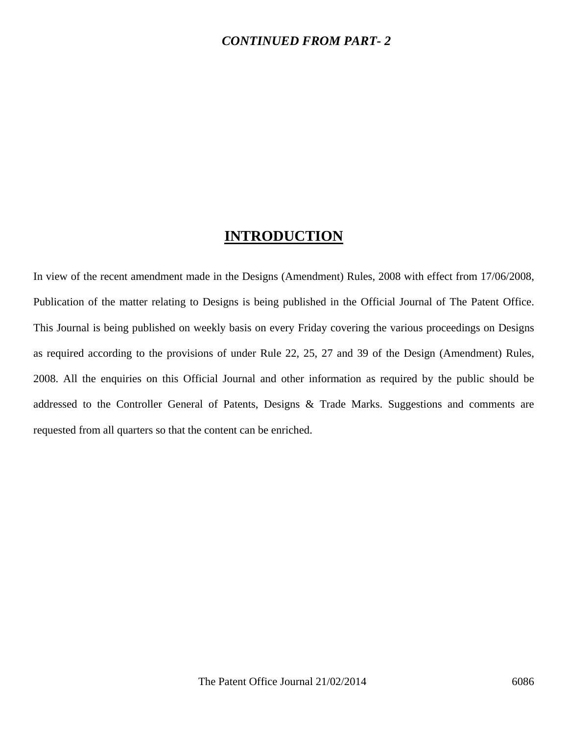### *CONTINUED FROM PART- 2*

## **INTRODUCTION**

In view of the recent amendment made in the Designs (Amendment) Rules, 2008 with effect from 17/06/2008, Publication of the matter relating to Designs is being published in the Official Journal of The Patent Office. This Journal is being published on weekly basis on every Friday covering the various proceedings on Designs as required according to the provisions of under Rule 22, 25, 27 and 39 of the Design (Amendment) Rules, 2008. All the enquiries on this Official Journal and other information as required by the public should be addressed to the Controller General of Patents, Designs & Trade Marks. Suggestions and comments are requested from all quarters so that the content can be enriched.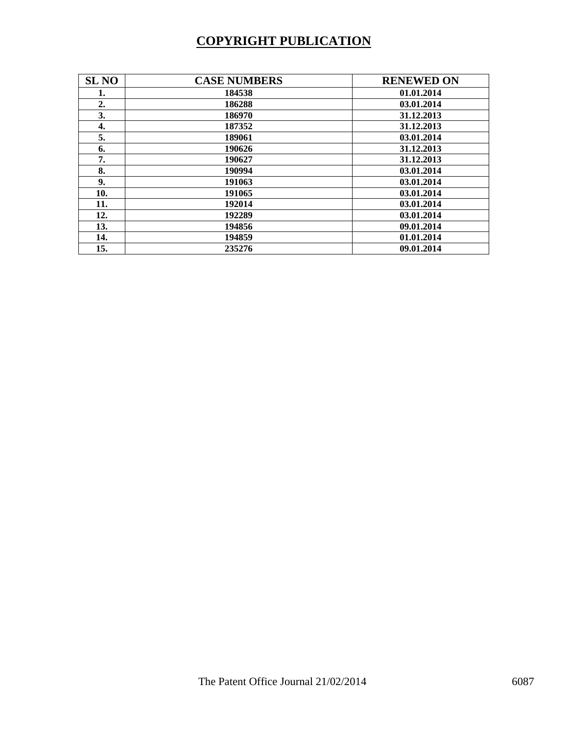# **COPYRIGHT PUBLICATION**

| <b>SL NO</b> | <b>CASE NUMBERS</b> | <b>RENEWED ON</b> |
|--------------|---------------------|-------------------|
| 1.           | 184538              | 01.01.2014        |
| 2.           | 186288              | 03.01.2014        |
| 3.           | 186970              | 31.12.2013        |
| 4.           | 187352              | 31.12.2013        |
| 5.           | 189061              | 03.01.2014        |
| 6.           | 190626              | 31.12.2013        |
| 7.           | 190627              | 31.12.2013        |
| 8.           | 190994              | 03.01.2014        |
| 9.           | 191063              | 03.01.2014        |
| 10.          | 191065              | 03.01.2014        |
| 11.          | 192014              | 03.01.2014        |
| 12.          | 192289              | 03.01.2014        |
| 13.          | 194856              | 09.01.2014        |
| 14.          | 194859              | 01.01.2014        |
| 15.          | 235276              | 09.01.2014        |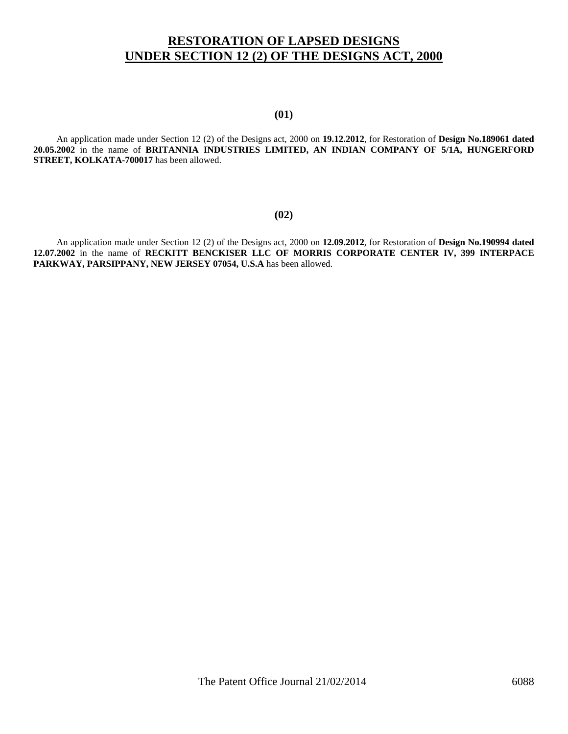### **RESTORATION OF LAPSED DESIGNS UNDER SECTION 12 (2) OF THE DESIGNS ACT, 2000**

#### **(01)**

 An application made under Section 12 (2) of the Designs act, 2000 on **19.12.2012**, for Restoration of **Design No.189061 dated 20.05.2002** in the name of **BRITANNIA INDUSTRIES LIMITED, AN INDIAN COMPANY OF 5/1A, HUNGERFORD STREET, KOLKATA-700017** has been allowed.

#### **(02)**

 An application made under Section 12 (2) of the Designs act, 2000 on **12.09.2012**, for Restoration of **Design No.190994 dated 12.07.2002** in the name of **RECKITT BENCKISER LLC OF MORRIS CORPORATE CENTER IV, 399 INTERPACE PARKWAY, PARSIPPANY, NEW JERSEY 07054, U.S.A** has been allowed.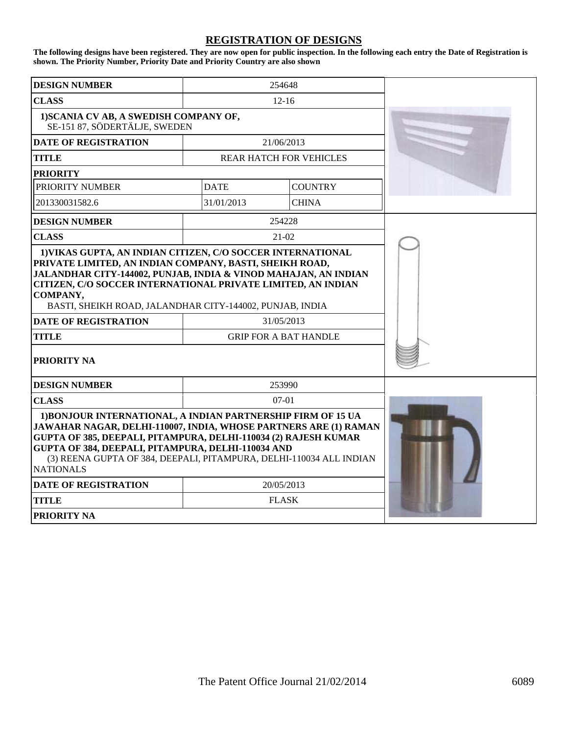### **REGISTRATION OF DESIGNS**

**The following designs have been registered. They are now open for public inspection. In the following each entry the Date of Registration is shown. The Priority Number, Priority Date and Priority Country are also shown**

| <b>DESIGN NUMBER</b>                                                                                                                                                                                                                                                                                                                                                                            | 254648                                     |                |  |
|-------------------------------------------------------------------------------------------------------------------------------------------------------------------------------------------------------------------------------------------------------------------------------------------------------------------------------------------------------------------------------------------------|--------------------------------------------|----------------|--|
| <b>CLASS</b>                                                                                                                                                                                                                                                                                                                                                                                    | $12 - 16$                                  |                |  |
| 1) SCANIA CV AB, A SWEDISH COMPANY OF,<br>SE-151 87, SÖDERTÄLJE, SWEDEN                                                                                                                                                                                                                                                                                                                         |                                            |                |  |
| <b>DATE OF REGISTRATION</b>                                                                                                                                                                                                                                                                                                                                                                     | 21/06/2013                                 |                |  |
| <b>TITLE</b>                                                                                                                                                                                                                                                                                                                                                                                    | <b>REAR HATCH FOR VEHICLES</b>             |                |  |
| <b>PRIORITY</b>                                                                                                                                                                                                                                                                                                                                                                                 |                                            |                |  |
| <b>PRIORITY NUMBER</b>                                                                                                                                                                                                                                                                                                                                                                          | <b>DATE</b>                                | <b>COUNTRY</b> |  |
| 201330031582.6                                                                                                                                                                                                                                                                                                                                                                                  | 31/01/2013                                 | <b>CHINA</b>   |  |
| <b>DESIGN NUMBER</b>                                                                                                                                                                                                                                                                                                                                                                            | 254228                                     |                |  |
| <b>CLASS</b>                                                                                                                                                                                                                                                                                                                                                                                    | $21-02$                                    |                |  |
| 1) VIKAS GUPTA, AN INDIAN CITIZEN, C/O SOCCER INTERNATIONAL<br>PRIVATE LIMITED, AN INDIAN COMPANY, BASTI, SHEIKH ROAD,<br>JALANDHAR CITY-144002, PUNJAB, INDIA & VINOD MAHAJAN, AN INDIAN<br>CITIZEN, C/O SOCCER INTERNATIONAL PRIVATE LIMITED, AN INDIAN<br>COMPANY,<br>BASTI, SHEIKH ROAD, JALANDHAR CITY-144002, PUNJAB, INDIA<br><b>DATE OF REGISTRATION</b><br><b>TITLE</b><br>PRIORITY NA | 31/05/2013<br><b>GRIP FOR A BAT HANDLE</b> |                |  |
|                                                                                                                                                                                                                                                                                                                                                                                                 |                                            |                |  |
| <b>DESIGN NUMBER</b>                                                                                                                                                                                                                                                                                                                                                                            | 253990<br>$07 - 01$                        |                |  |
| <b>CLASS</b><br>1) BONJOUR INTERNATIONAL, A INDIAN PARTNERSHIP FIRM OF 15 UA<br>JAWAHAR NAGAR, DELHI-110007, INDIA, WHOSE PARTNERS ARE (1) RAMAN<br>GUPTA OF 385, DEEPALI, PITAMPURA, DELHI-110034 (2) RAJESH KUMAR<br>GUPTA OF 384, DEEPALI, PITAMPURA, DELHI-110034 AND<br>(3) REENA GUPTA OF 384, DEEPALI, PITAMPURA, DELHI-110034 ALL INDIAN<br><b>NATIONALS</b>                            |                                            |                |  |
| <b>DATE OF REGISTRATION</b>                                                                                                                                                                                                                                                                                                                                                                     | 20/05/2013                                 |                |  |
| <b>TITLE</b>                                                                                                                                                                                                                                                                                                                                                                                    | <b>FLASK</b>                               |                |  |
| <b>PRIORITY NA</b>                                                                                                                                                                                                                                                                                                                                                                              |                                            |                |  |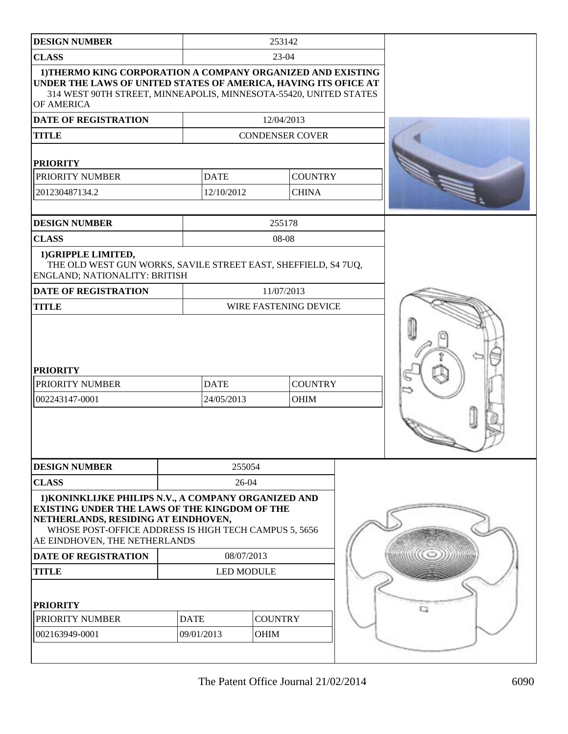| <b>DESIGN NUMBER</b>                                                                                                                                                                                                                          | 253142      |                           |        |                               |  |   |
|-----------------------------------------------------------------------------------------------------------------------------------------------------------------------------------------------------------------------------------------------|-------------|---------------------------|--------|-------------------------------|--|---|
| <b>CLASS</b><br>$23-04$                                                                                                                                                                                                                       |             |                           |        |                               |  |   |
| 1) THERMO KING CORPORATION A COMPANY ORGANIZED AND EXISTING<br>UNDER THE LAWS OF UNITED STATES OF AMERICA, HAVING ITS OFICE AT<br>314 WEST 90TH STREET, MINNEAPOLIS, MINNESOTA-55420, UNITED STATES<br>OF AMERICA                             |             |                           |        |                               |  |   |
| DATE OF REGISTRATION                                                                                                                                                                                                                          |             |                           |        | 12/04/2013                    |  |   |
| <b>TITLE</b>                                                                                                                                                                                                                                  |             |                           |        | <b>CONDENSER COVER</b>        |  |   |
| <b>PRIORITY</b>                                                                                                                                                                                                                               |             |                           |        |                               |  |   |
| PRIORITY NUMBER                                                                                                                                                                                                                               |             | <b>DATE</b>               |        | <b>COUNTRY</b>                |  |   |
| 201230487134.2                                                                                                                                                                                                                                |             | 12/10/2012                |        | <b>CHINA</b>                  |  |   |
| <b>DESIGN NUMBER</b>                                                                                                                                                                                                                          |             |                           |        | 255178                        |  |   |
| <b>CLASS</b>                                                                                                                                                                                                                                  |             |                           |        | 08-08                         |  |   |
| 1) GRIPPLE LIMITED,<br>THE OLD WEST GUN WORKS, SAVILE STREET EAST, SHEFFIELD, S4 7UQ,<br>ENGLAND; NATIONALITY: BRITISH                                                                                                                        |             |                           |        |                               |  |   |
| <b>DATE OF REGISTRATION</b>                                                                                                                                                                                                                   |             | 11/07/2013                |        |                               |  |   |
| <b>TITLE</b>                                                                                                                                                                                                                                  |             |                           |        | WIRE FASTENING DEVICE         |  |   |
| <b>PRIORITY</b><br>PRIORITY NUMBER<br>002243147-0001                                                                                                                                                                                          |             | <b>DATE</b><br>24/05/2013 |        | <b>COUNTRY</b><br><b>OHIM</b> |  | ⇨ |
| <b>DESIGN NUMBER</b>                                                                                                                                                                                                                          |             |                           | 255054 |                               |  |   |
| <b>CLASS</b>                                                                                                                                                                                                                                  |             |                           | 26-04  |                               |  |   |
| 1) KONINKLIJKE PHILIPS N.V., A COMPANY ORGANIZED AND<br><b>EXISTING UNDER THE LAWS OF THE KINGDOM OF THE</b><br>NETHERLANDS, RESIDING AT EINDHOVEN,<br>WHOSE POST-OFFICE ADDRESS IS HIGH TECH CAMPUS 5, 5656<br>AE EINDHOVEN, THE NETHERLANDS |             |                           |        |                               |  |   |
| <b>DATE OF REGISTRATION</b>                                                                                                                                                                                                                   |             | 08/07/2013                |        |                               |  |   |
| <b>TITLE</b>                                                                                                                                                                                                                                  |             | <b>LED MODULE</b>         |        |                               |  |   |
| <b>PRIORITY</b><br>PRIORITY NUMBER<br>002163949-0001                                                                                                                                                                                          | <b>DATE</b> | 09/01/2013                |        | <b>COUNTRY</b><br>OHIM        |  |   |
|                                                                                                                                                                                                                                               |             |                           |        |                               |  |   |
|                                                                                                                                                                                                                                               |             |                           |        |                               |  |   |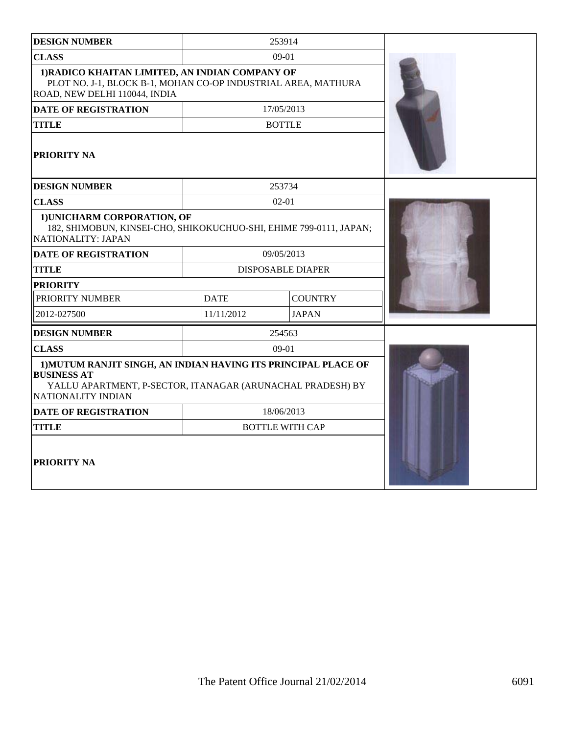| <b>DESIGN NUMBER</b>                                                                                                                                                     |             | 253914                   |  |
|--------------------------------------------------------------------------------------------------------------------------------------------------------------------------|-------------|--------------------------|--|
| <b>CLASS</b>                                                                                                                                                             |             | $09-01$                  |  |
| 1) RADICO KHAITAN LIMITED, AN INDIAN COMPANY OF<br>PLOT NO. J-1, BLOCK B-1, MOHAN CO-OP INDUSTRIAL AREA, MATHURA<br>ROAD, NEW DELHI 110044, INDIA                        |             |                          |  |
| <b>DATE OF REGISTRATION</b>                                                                                                                                              |             | 17/05/2013               |  |
| <b>TITLE</b>                                                                                                                                                             |             | <b>BOTTLE</b>            |  |
| PRIORITY NA                                                                                                                                                              |             |                          |  |
| <b>DESIGN NUMBER</b>                                                                                                                                                     |             | 253734                   |  |
| <b>CLASS</b>                                                                                                                                                             |             | $02 - 01$                |  |
| 1) UNICHARM CORPORATION, OF<br>182, SHIMOBUN, KINSEI-CHO, SHIKOKUCHUO-SHI, EHIME 799-0111, JAPAN;<br>NATIONALITY: JAPAN                                                  |             |                          |  |
| <b>DATE OF REGISTRATION</b>                                                                                                                                              |             | 09/05/2013               |  |
| <b>TITLE</b>                                                                                                                                                             |             | <b>DISPOSABLE DIAPER</b> |  |
| <b>PRIORITY</b>                                                                                                                                                          |             |                          |  |
| PRIORITY NUMBER                                                                                                                                                          | <b>DATE</b> | <b>COUNTRY</b>           |  |
| 2012-027500                                                                                                                                                              | 11/11/2012  | <b>JAPAN</b>             |  |
| <b>DESIGN NUMBER</b>                                                                                                                                                     |             | 254563                   |  |
| <b>CLASS</b>                                                                                                                                                             |             | $09-01$                  |  |
| 1) MUTUM RANJIT SINGH, AN INDIAN HAVING ITS PRINCIPAL PLACE OF<br><b>BUSINESS AT</b><br>YALLU APARTMENT, P-SECTOR, ITANAGAR (ARUNACHAL PRADESH) BY<br>NATIONALITY INDIAN |             |                          |  |
| <b>DATE OF REGISTRATION</b>                                                                                                                                              |             | 18/06/2013               |  |
| <b>TITLE</b>                                                                                                                                                             |             | <b>BOTTLE WITH CAP</b>   |  |
| <b>PRIORITY NA</b>                                                                                                                                                       |             |                          |  |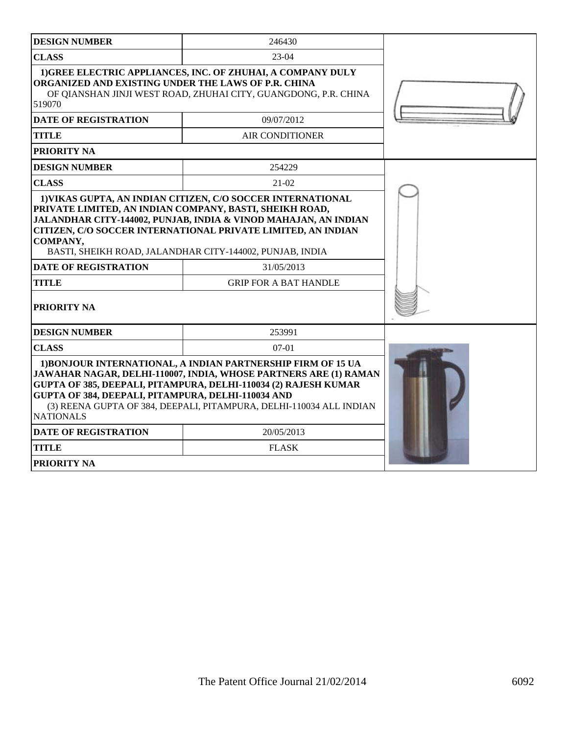| <b>DESIGN NUMBER</b>                                                                                                                                                                                                                                                                                                                                        | 246430                       |  |  |  |
|-------------------------------------------------------------------------------------------------------------------------------------------------------------------------------------------------------------------------------------------------------------------------------------------------------------------------------------------------------------|------------------------------|--|--|--|
| <b>CLASS</b>                                                                                                                                                                                                                                                                                                                                                | $23-04$                      |  |  |  |
| 1) GREE ELECTRIC APPLIANCES, INC. OF ZHUHAI, A COMPANY DULY<br>ORGANIZED AND EXISTING UNDER THE LAWS OF P.R. CHINA<br>OF QIANSHAN JINJI WEST ROAD, ZHUHAI CITY, GUANGDONG, P.R. CHINA<br>519070                                                                                                                                                             |                              |  |  |  |
| <b>DATE OF REGISTRATION</b>                                                                                                                                                                                                                                                                                                                                 | 09/07/2012                   |  |  |  |
| <b>TITLE</b>                                                                                                                                                                                                                                                                                                                                                | <b>AIR CONDITIONER</b>       |  |  |  |
| PRIORITY NA                                                                                                                                                                                                                                                                                                                                                 |                              |  |  |  |
| <b>DESIGN NUMBER</b>                                                                                                                                                                                                                                                                                                                                        | 254229                       |  |  |  |
| <b>CLASS</b>                                                                                                                                                                                                                                                                                                                                                | $21 - 02$                    |  |  |  |
| 1) VIKAS GUPTA, AN INDIAN CITIZEN, C/O SOCCER INTERNATIONAL<br>PRIVATE LIMITED, AN INDIAN COMPANY, BASTI, SHEIKH ROAD,<br>JALANDHAR CITY-144002, PUNJAB, INDIA & VINOD MAHAJAN, AN INDIAN<br>CITIZEN, C/O SOCCER INTERNATIONAL PRIVATE LIMITED, AN INDIAN<br>COMPANY,<br>BASTI, SHEIKH ROAD, JALANDHAR CITY-144002, PUNJAB, INDIA                           |                              |  |  |  |
| <b>DATE OF REGISTRATION</b>                                                                                                                                                                                                                                                                                                                                 | 31/05/2013                   |  |  |  |
| <b>TITLE</b>                                                                                                                                                                                                                                                                                                                                                | <b>GRIP FOR A BAT HANDLE</b> |  |  |  |
| <b>PRIORITY NA</b>                                                                                                                                                                                                                                                                                                                                          |                              |  |  |  |
| <b>DESIGN NUMBER</b>                                                                                                                                                                                                                                                                                                                                        | 253991                       |  |  |  |
| <b>CLASS</b>                                                                                                                                                                                                                                                                                                                                                | $07-01$                      |  |  |  |
| 1) BONJOUR INTERNATIONAL, A INDIAN PARTNERSHIP FIRM OF 15 UA<br>JAWAHAR NAGAR, DELHI-110007, INDIA, WHOSE PARTNERS ARE (1) RAMAN<br><b>GUPTA OF 385, DEEPALI, PITAMPURA, DELHI-110034 (2) RAJESH KUMAR</b><br>GUPTA OF 384, DEEPALI, PITAMPURA, DELHI-110034 AND<br>(3) REENA GUPTA OF 384, DEEPALI, PITAMPURA, DELHI-110034 ALL INDIAN<br><b>NATIONALS</b> |                              |  |  |  |
| <b>DATE OF REGISTRATION</b>                                                                                                                                                                                                                                                                                                                                 | 20/05/2013                   |  |  |  |
| <b>TITLE</b>                                                                                                                                                                                                                                                                                                                                                | <b>FLASK</b>                 |  |  |  |
| PRIORITY NA                                                                                                                                                                                                                                                                                                                                                 |                              |  |  |  |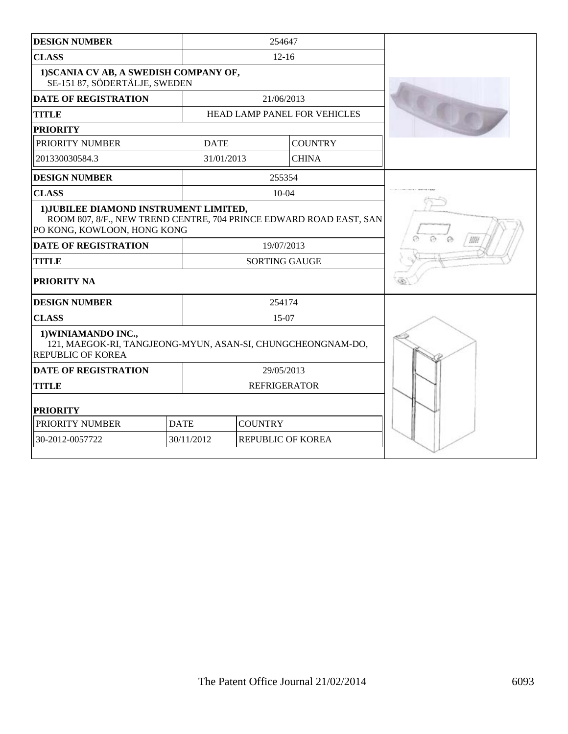| <b>DESIGN NUMBER</b>                                                                                                                        |                                 |                      |                              |  |  |  |
|---------------------------------------------------------------------------------------------------------------------------------------------|---------------------------------|----------------------|------------------------------|--|--|--|
| <b>CLASS</b>                                                                                                                                | $12 - 16$                       |                      |                              |  |  |  |
| 1) SCANIA CV AB, A SWEDISH COMPANY OF,<br>SE-151 87, SÖDERTÄLJE, SWEDEN                                                                     |                                 |                      |                              |  |  |  |
| <b>DATE OF REGISTRATION</b>                                                                                                                 | 21/06/2013                      |                      |                              |  |  |  |
| <b>TITLE</b>                                                                                                                                |                                 |                      | HEAD LAMP PANEL FOR VEHICLES |  |  |  |
| <b>PRIORITY</b>                                                                                                                             |                                 |                      |                              |  |  |  |
| PRIORITY NUMBER                                                                                                                             | <b>DATE</b>                     |                      | <b>COUNTRY</b>               |  |  |  |
| 201330030584.3                                                                                                                              | 31/01/2013                      |                      | <b>CHINA</b>                 |  |  |  |
| <b>DESIGN NUMBER</b>                                                                                                                        |                                 | 255354               |                              |  |  |  |
| <b>CLASS</b>                                                                                                                                |                                 | $10 - 04$            |                              |  |  |  |
| 1) JUBILEE DIAMOND INSTRUMENT LIMITED,<br>ROOM 807, 8/F., NEW TREND CENTRE, 704 PRINCE EDWARD ROAD EAST, SAN<br>PO KONG, KOWLOON, HONG KONG |                                 |                      |                              |  |  |  |
| <b>DATE OF REGISTRATION</b>                                                                                                                 |                                 | 19/07/2013           |                              |  |  |  |
| <b>TITLE</b>                                                                                                                                |                                 | <b>SORTING GAUGE</b> |                              |  |  |  |
| <b>PRIORITY NA</b>                                                                                                                          |                                 |                      |                              |  |  |  |
| <b>DESIGN NUMBER</b>                                                                                                                        |                                 | 254174               |                              |  |  |  |
| <b>CLASS</b>                                                                                                                                |                                 | 15-07                |                              |  |  |  |
| 1) WINIAMANDO INC.,<br>121, MAEGOK-RI, TANGJEONG-MYUN, ASAN-SI, CHUNGCHEONGNAM-DO,<br><b>REPUBLIC OF KOREA</b>                              |                                 |                      |                              |  |  |  |
| <b>DATE OF REGISTRATION</b>                                                                                                                 |                                 | 29/05/2013           |                              |  |  |  |
| <b>TITLE</b>                                                                                                                                |                                 | <b>REFRIGERATOR</b>  |                              |  |  |  |
| <b>PRIORITY</b>                                                                                                                             |                                 |                      |                              |  |  |  |
| PRIORITY NUMBER                                                                                                                             | <b>DATE</b><br><b>COUNTRY</b>   |                      |                              |  |  |  |
| 30-2012-0057722                                                                                                                             | 30/11/2012<br>REPUBLIC OF KOREA |                      |                              |  |  |  |
|                                                                                                                                             |                                 |                      |                              |  |  |  |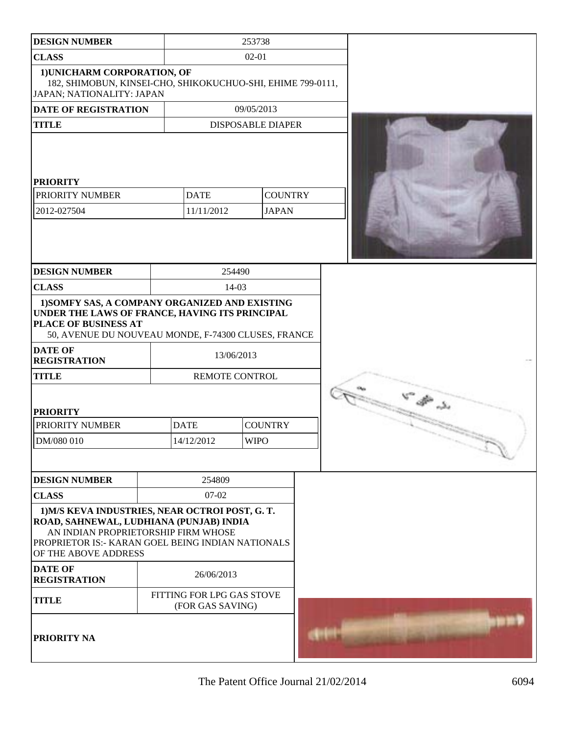| <b>DESIGN NUMBER</b>                                                                                                                                                                                          |  | 253738                                        |             |                          |  |
|---------------------------------------------------------------------------------------------------------------------------------------------------------------------------------------------------------------|--|-----------------------------------------------|-------------|--------------------------|--|
| <b>CLASS</b>                                                                                                                                                                                                  |  |                                               | $02 - 01$   |                          |  |
| 1) UNICHARM CORPORATION, OF<br>182, SHIMOBUN, KINSEI-CHO, SHIKOKUCHUO-SHI, EHIME 799-0111,<br>JAPAN; NATIONALITY: JAPAN                                                                                       |  |                                               |             |                          |  |
| <b>DATE OF REGISTRATION</b>                                                                                                                                                                                   |  |                                               | 09/05/2013  |                          |  |
| <b>TITLE</b>                                                                                                                                                                                                  |  |                                               |             | <b>DISPOSABLE DIAPER</b> |  |
| <b>PRIORITY</b>                                                                                                                                                                                               |  |                                               |             |                          |  |
| PRIORITY NUMBER                                                                                                                                                                                               |  | <b>DATE</b>                                   |             | <b>COUNTRY</b>           |  |
| 2012-027504                                                                                                                                                                                                   |  | 11/11/2012                                    |             | <b>JAPAN</b>             |  |
|                                                                                                                                                                                                               |  |                                               |             |                          |  |
| <b>DESIGN NUMBER</b>                                                                                                                                                                                          |  |                                               | 254490      |                          |  |
| <b>CLASS</b>                                                                                                                                                                                                  |  |                                               | $14-03$     |                          |  |
| 1) SOMFY SAS, A COMPANY ORGANIZED AND EXISTING<br>UNDER THE LAWS OF FRANCE, HAVING ITS PRINCIPAL<br>PLACE OF BUSINESS AT<br>50, AVENUE DU NOUVEAU MONDE, F-74300 CLUSES, FRANCE                               |  |                                               |             |                          |  |
| <b>DATE OF</b><br><b>REGISTRATION</b>                                                                                                                                                                         |  |                                               | 13/06/2013  |                          |  |
| <b>TITLE</b>                                                                                                                                                                                                  |  | REMOTE CONTROL                                |             |                          |  |
| <b>PRIORITY</b>                                                                                                                                                                                               |  |                                               |             |                          |  |
| PRIORITY NUMBER                                                                                                                                                                                               |  | <b>COUNTRY</b><br><b>DATE</b>                 |             |                          |  |
| DM/080 010                                                                                                                                                                                                    |  | 14/12/2012                                    | <b>WIPO</b> |                          |  |
|                                                                                                                                                                                                               |  |                                               |             |                          |  |
| <b>DESIGN NUMBER</b>                                                                                                                                                                                          |  | 254809                                        |             |                          |  |
| <b>CLASS</b>                                                                                                                                                                                                  |  | 07-02                                         |             |                          |  |
| 1) M/S KEVA INDUSTRIES, NEAR OCTROI POST, G.T.<br>ROAD, SAHNEWAL, LUDHIANA (PUNJAB) INDIA<br>AN INDIAN PROPRIETORSHIP FIRM WHOSE<br>PROPRIETOR IS:- KARAN GOEL BEING INDIAN NATIONALS<br>OF THE ABOVE ADDRESS |  |                                               |             |                          |  |
| <b>DATE OF</b><br><b>REGISTRATION</b>                                                                                                                                                                         |  | 26/06/2013                                    |             |                          |  |
| <b>TITLE</b>                                                                                                                                                                                                  |  | FITTING FOR LPG GAS STOVE<br>(FOR GAS SAVING) |             |                          |  |
| PRIORITY NA                                                                                                                                                                                                   |  |                                               |             |                          |  |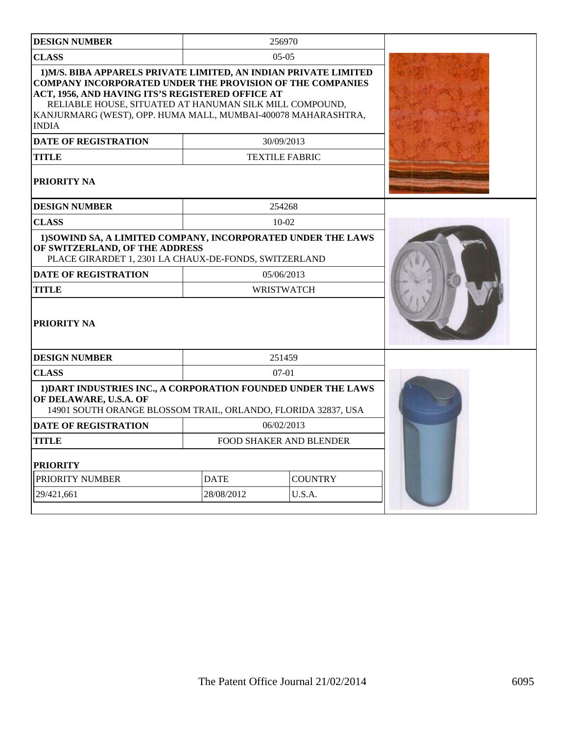| <b>DESIGN NUMBER</b>                                                                                                                                                                                                                                                                                                                 |             | 256970                         |  |  |  |  |  |
|--------------------------------------------------------------------------------------------------------------------------------------------------------------------------------------------------------------------------------------------------------------------------------------------------------------------------------------|-------------|--------------------------------|--|--|--|--|--|
| <b>CLASS</b>                                                                                                                                                                                                                                                                                                                         | $0.5 - 0.5$ |                                |  |  |  |  |  |
| 1) M/S. BIBA APPARELS PRIVATE LIMITED, AN INDIAN PRIVATE LIMITED<br><b>COMPANY INCORPORATED UNDER THE PROVISION OF THE COMPANIES</b><br>ACT, 1956, AND HAVING ITS'S REGISTERED OFFICE AT<br>RELIABLE HOUSE, SITUATED AT HANUMAN SILK MILL COMPOUND,<br>KANJURMARG (WEST), OPP. HUMA MALL, MUMBAI-400078 MAHARASHTRA,<br><b>INDIA</b> |             |                                |  |  |  |  |  |
| <b>DATE OF REGISTRATION</b>                                                                                                                                                                                                                                                                                                          |             | 30/09/2013                     |  |  |  |  |  |
| TITLE                                                                                                                                                                                                                                                                                                                                |             | <b>TEXTILE FABRIC</b>          |  |  |  |  |  |
| <b>PRIORITY NA</b>                                                                                                                                                                                                                                                                                                                   |             |                                |  |  |  |  |  |
| <b>DESIGN NUMBER</b>                                                                                                                                                                                                                                                                                                                 |             | 254268                         |  |  |  |  |  |
| <b>CLASS</b>                                                                                                                                                                                                                                                                                                                         |             | $10 - 02$                      |  |  |  |  |  |
| 1) SOWIND SA, A LIMITED COMPANY, INCORPORATED UNDER THE LAWS<br>OF SWITZERLAND, OF THE ADDRESS<br>PLACE GIRARDET 1, 2301 LA CHAUX-DE-FONDS, SWITZERLAND                                                                                                                                                                              |             |                                |  |  |  |  |  |
| <b>DATE OF REGISTRATION</b>                                                                                                                                                                                                                                                                                                          |             | 05/06/2013                     |  |  |  |  |  |
| <b>TITLE</b>                                                                                                                                                                                                                                                                                                                         |             | <b>WRISTWATCH</b>              |  |  |  |  |  |
| PRIORITY NA                                                                                                                                                                                                                                                                                                                          |             |                                |  |  |  |  |  |
|                                                                                                                                                                                                                                                                                                                                      |             |                                |  |  |  |  |  |
| <b>DESIGN NUMBER</b>                                                                                                                                                                                                                                                                                                                 |             | 251459                         |  |  |  |  |  |
| <b>CLASS</b>                                                                                                                                                                                                                                                                                                                         |             | $07-01$                        |  |  |  |  |  |
| 1) DART INDUSTRIES INC., A CORPORATION FOUNDED UNDER THE LAWS<br>OF DELAWARE, U.S.A. OF<br>14901 SOUTH ORANGE BLOSSOM TRAIL, ORLANDO, FLORIDA 32837, USA                                                                                                                                                                             |             |                                |  |  |  |  |  |
| <b>DATE OF REGISTRATION</b>                                                                                                                                                                                                                                                                                                          |             | 06/02/2013                     |  |  |  |  |  |
| TITLE                                                                                                                                                                                                                                                                                                                                |             | <b>FOOD SHAKER AND BLENDER</b> |  |  |  |  |  |
| PRIORITY                                                                                                                                                                                                                                                                                                                             |             |                                |  |  |  |  |  |
| PRIORITY NUMBER                                                                                                                                                                                                                                                                                                                      | <b>DATE</b> | <b>COUNTRY</b>                 |  |  |  |  |  |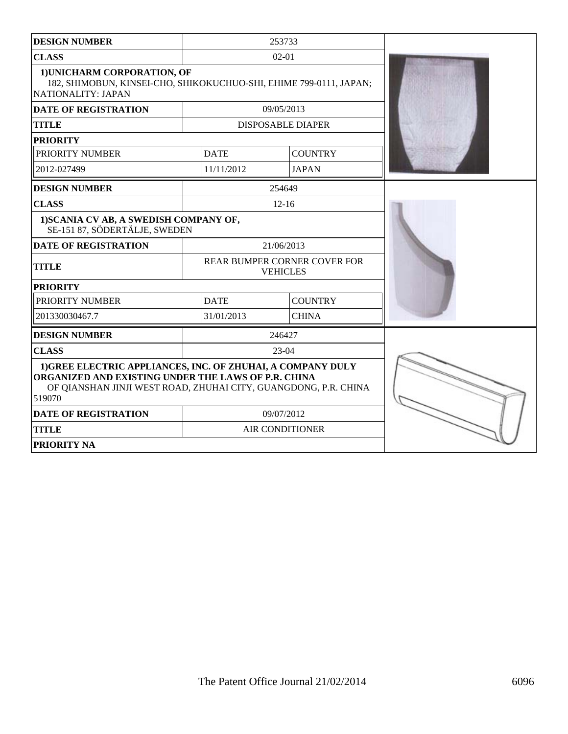| <b>DESIGN NUMBER</b>                                                                                                                                                                            |                               | 253733                                          |  |
|-------------------------------------------------------------------------------------------------------------------------------------------------------------------------------------------------|-------------------------------|-------------------------------------------------|--|
| <b>CLASS</b>                                                                                                                                                                                    |                               | $02 - 01$                                       |  |
| 1) UNICHARM CORPORATION, OF<br>182, SHIMOBUN, KINSEI-CHO, SHIKOKUCHUO-SHI, EHIME 799-0111, JAPAN;<br>NATIONALITY: JAPAN                                                                         |                               |                                                 |  |
| <b>DATE OF REGISTRATION</b>                                                                                                                                                                     |                               | 09/05/2013                                      |  |
| <b>TITLE</b>                                                                                                                                                                                    |                               | <b>DISPOSABLE DIAPER</b>                        |  |
| <b>PRIORITY</b>                                                                                                                                                                                 |                               |                                                 |  |
| PRIORITY NUMBER                                                                                                                                                                                 | <b>DATE</b>                   | <b>COUNTRY</b>                                  |  |
| 2012-027499                                                                                                                                                                                     | 11/11/2012                    | <b>JAPAN</b>                                    |  |
| <b>DESIGN NUMBER</b>                                                                                                                                                                            |                               | 254649                                          |  |
| <b>CLASS</b>                                                                                                                                                                                    |                               | $12 - 16$                                       |  |
| 1) SCANIA CV AB, A SWEDISH COMPANY OF,<br>SE-151 87, SÖDERTÄLJE, SWEDEN                                                                                                                         |                               |                                                 |  |
| <b>DATE OF REGISTRATION</b>                                                                                                                                                                     |                               | 21/06/2013                                      |  |
| <b>TITLE</b>                                                                                                                                                                                    |                               | REAR BUMPER CORNER COVER FOR<br><b>VEHICLES</b> |  |
| <b>PRIORITY</b>                                                                                                                                                                                 |                               |                                                 |  |
| PRIORITY NUMBER                                                                                                                                                                                 | <b>DATE</b><br><b>COUNTRY</b> |                                                 |  |
| 201330030467.7                                                                                                                                                                                  | 31/01/2013                    | <b>CHINA</b>                                    |  |
| <b>DESIGN NUMBER</b>                                                                                                                                                                            |                               | 246427                                          |  |
| <b>CLASS</b>                                                                                                                                                                                    |                               | $23-04$                                         |  |
| 1) GREE ELECTRIC APPLIANCES, INC. OF ZHUHAI, A COMPANY DULY<br>ORGANIZED AND EXISTING UNDER THE LAWS OF P.R. CHINA<br>OF QIANSHAN JINJI WEST ROAD, ZHUHAI CITY, GUANGDONG, P.R. CHINA<br>519070 |                               |                                                 |  |
| <b>DATE OF REGISTRATION</b>                                                                                                                                                                     |                               | 09/07/2012                                      |  |
| <b>TITLE</b>                                                                                                                                                                                    |                               | <b>AIR CONDITIONER</b>                          |  |
| PRIORITY NA                                                                                                                                                                                     |                               |                                                 |  |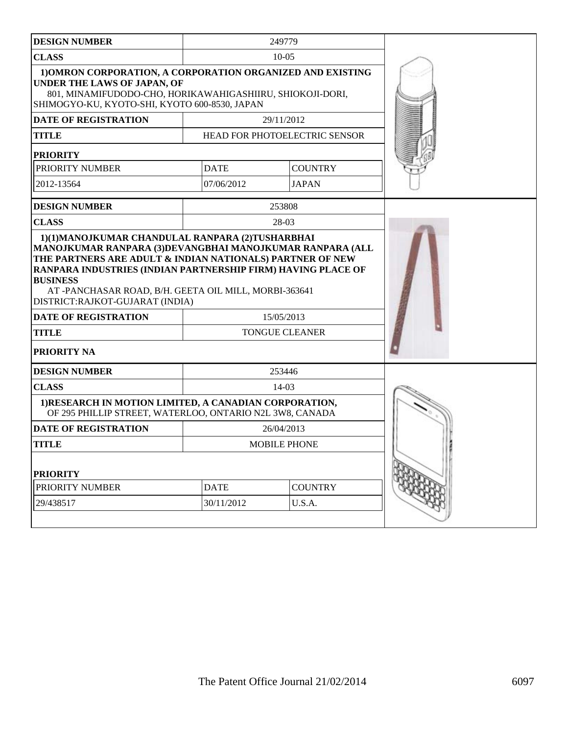| <b>DESIGN NUMBER</b>                                                                                                                                                                                                | 249779      |                                     |  |  |  |
|---------------------------------------------------------------------------------------------------------------------------------------------------------------------------------------------------------------------|-------------|-------------------------------------|--|--|--|
| <b>CLASS</b>                                                                                                                                                                                                        |             | $10 - 05$                           |  |  |  |
| 1) OMRON CORPORATION, A CORPORATION ORGANIZED AND EXISTING<br>UNDER THE LAWS OF JAPAN, OF<br>801, MINAMIFUDODO-CHO, HORIKAWAHIGASHIIRU, SHIOKOJI-DORI,<br>SHIMOGYO-KU, KYOTO-SHI, KYOTO 600-8530, JAPAN             |             |                                     |  |  |  |
| <b>DATE OF REGISTRATION</b>                                                                                                                                                                                         |             | 29/11/2012                          |  |  |  |
| TITLE                                                                                                                                                                                                               |             | HEAD FOR PHOTOELECTRIC SENSOR       |  |  |  |
| <b>PRIORITY</b>                                                                                                                                                                                                     |             |                                     |  |  |  |
| PRIORITY NUMBER                                                                                                                                                                                                     | <b>DATE</b> | <b>COUNTRY</b>                      |  |  |  |
| 2012-13564                                                                                                                                                                                                          | 07/06/2012  | <b>JAPAN</b>                        |  |  |  |
| <b>DESIGN NUMBER</b>                                                                                                                                                                                                |             | 253808                              |  |  |  |
| <b>CLASS</b>                                                                                                                                                                                                        |             | 28-03                               |  |  |  |
| RANPARA INDUSTRIES (INDIAN PARTNERSHIP FIRM) HAVING PLACE OF<br><b>BUSINESS</b><br>AT -PANCHASAR ROAD, B/H. GEETA OIL MILL, MORBI-363641<br>DISTRICT:RAJKOT-GUJARAT (INDIA)<br>DATE OF REGISTRATION<br><b>TITLE</b> |             | 15/05/2013<br><b>TONGUE CLEANER</b> |  |  |  |
| <b>PRIORITY NA</b>                                                                                                                                                                                                  |             |                                     |  |  |  |
| <b>DESIGN NUMBER</b>                                                                                                                                                                                                |             | 253446                              |  |  |  |
| <b>CLASS</b>                                                                                                                                                                                                        |             | $14-03$                             |  |  |  |
| 1) RESEARCH IN MOTION LIMITED, A CANADIAN CORPORATION,<br>OF 295 PHILLIP STREET, WATERLOO, ONTARIO N2L 3W8, CANADA                                                                                                  |             |                                     |  |  |  |
| <b>DATE OF REGISTRATION</b>                                                                                                                                                                                         |             | 26/04/2013                          |  |  |  |
| <b>TITLE</b>                                                                                                                                                                                                        |             | MOBILE PHONE                        |  |  |  |
| <b>PRIORITY</b>                                                                                                                                                                                                     |             |                                     |  |  |  |
| PRIORITY NUMBER                                                                                                                                                                                                     | <b>DATE</b> | <b>COUNTRY</b>                      |  |  |  |
| 29/438517                                                                                                                                                                                                           | 30/11/2012  | U.S.A.                              |  |  |  |
|                                                                                                                                                                                                                     |             |                                     |  |  |  |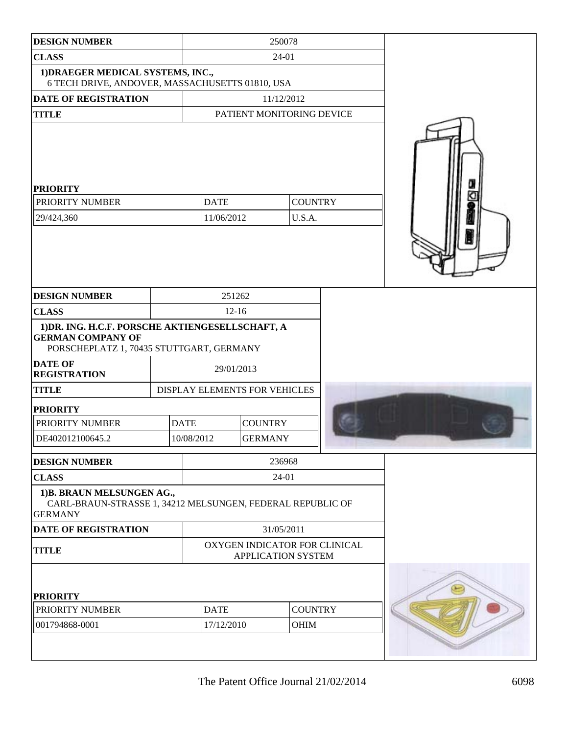| <b>DESIGN NUMBER</b>                                                                                                     | 250078                                                     |                               |                           |        |  |  |
|--------------------------------------------------------------------------------------------------------------------------|------------------------------------------------------------|-------------------------------|---------------------------|--------|--|--|
| <b>CLASS</b>                                                                                                             |                                                            |                               | 24-01                     |        |  |  |
| 1) DRAEGER MEDICAL SYSTEMS, INC.,<br>6 TECH DRIVE, ANDOVER, MASSACHUSETTS 01810, USA                                     |                                                            |                               |                           |        |  |  |
| <b>DATE OF REGISTRATION</b>                                                                                              |                                                            |                               | 11/12/2012                |        |  |  |
| <b>TITLE</b>                                                                                                             |                                                            |                               | PATIENT MONITORING DEVICE |        |  |  |
| <b>PRIORITY</b><br>PRIORITY NUMBER<br>29/424,360                                                                         | <b>COUNTRY</b><br><b>DATE</b><br>11/06/2012<br>U.S.A.      |                               |                           |        |  |  |
| <b>DESIGN NUMBER</b>                                                                                                     |                                                            | 251262                        |                           |        |  |  |
| <b>CLASS</b>                                                                                                             |                                                            | $12 - 16$                     |                           |        |  |  |
| 1) DR. ING. H.C.F. PORSCHE AKTIENGESELLSCHAFT, A<br><b>GERMAN COMPANY OF</b><br>PORSCHEPLATZ 1, 70435 STUTTGART, GERMANY |                                                            |                               |                           |        |  |  |
| <b>DATE OF</b><br><b>REGISTRATION</b>                                                                                    |                                                            | 29/01/2013                    |                           |        |  |  |
| <b>TITLE</b>                                                                                                             |                                                            | DISPLAY ELEMENTS FOR VEHICLES |                           |        |  |  |
| <b>PRIORITY</b>                                                                                                          |                                                            |                               |                           |        |  |  |
| PRIORITY NUMBER                                                                                                          |                                                            | <b>DATE</b>                   | <b>COUNTRY</b>            |        |  |  |
| DE402012100645.2                                                                                                         |                                                            | 10/08/2012                    | <b>GERMANY</b>            |        |  |  |
| <b>DESIGN NUMBER</b>                                                                                                     |                                                            |                               |                           | 236968 |  |  |
| <b>CLASS</b>                                                                                                             |                                                            |                               | 24-01                     |        |  |  |
| 1)B. BRAUN MELSUNGEN AG.,<br>CARL-BRAUN-STRASSE 1, 34212 MELSUNGEN, FEDERAL REPUBLIC OF<br><b>GERMANY</b>                |                                                            |                               |                           |        |  |  |
| <b>DATE OF REGISTRATION</b>                                                                                              | 31/05/2011                                                 |                               |                           |        |  |  |
| <b>TITLE</b>                                                                                                             | OXYGEN INDICATOR FOR CLINICAL<br><b>APPLICATION SYSTEM</b> |                               |                           |        |  |  |
| <b>PRIORITY</b>                                                                                                          |                                                            |                               |                           |        |  |  |
| PRIORITY NUMBER                                                                                                          | <b>DATE</b>                                                | <b>COUNTRY</b>                |                           |        |  |  |
| 001794868-0001                                                                                                           | 17/12/2010                                                 |                               | OHIM                      |        |  |  |
|                                                                                                                          |                                                            |                               |                           |        |  |  |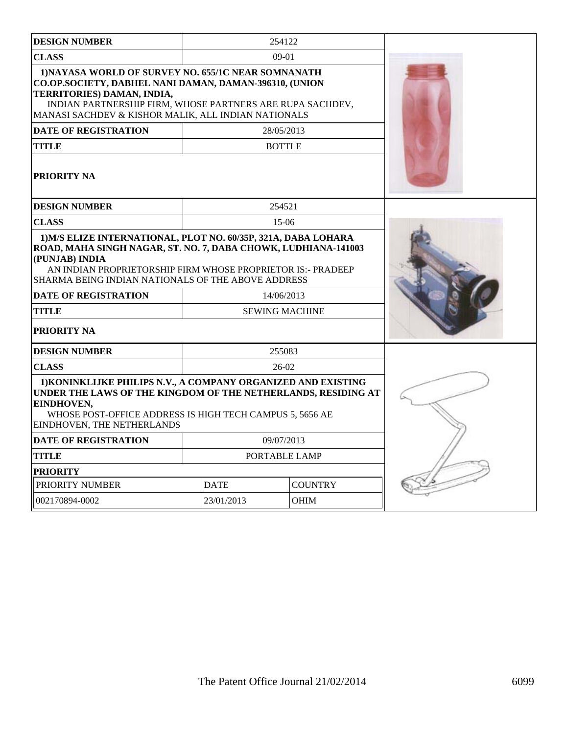| <b>DESIGN NUMBER</b>                                                                                                                                                                                                                                                    |             | 254122                |  |
|-------------------------------------------------------------------------------------------------------------------------------------------------------------------------------------------------------------------------------------------------------------------------|-------------|-----------------------|--|
| <b>CLASS</b>                                                                                                                                                                                                                                                            |             | $09-01$               |  |
| 1) NAYASA WORLD OF SURVEY NO. 655/1C NEAR SOMNANATH<br>CO.OP.SOCIETY, DABHEL NANI DAMAN, DAMAN-396310, (UNION<br>TERRITORIES) DAMAN, INDIA,<br>INDIAN PARTNERSHIP FIRM, WHOSE PARTNERS ARE RUPA SACHDEV,<br>MANASI SACHDEV & KISHOR MALIK, ALL INDIAN NATIONALS         |             |                       |  |
| DATE OF REGISTRATION                                                                                                                                                                                                                                                    |             | 28/05/2013            |  |
| <b>TITLE</b>                                                                                                                                                                                                                                                            |             | <b>BOTTLE</b>         |  |
| <b>PRIORITY NA</b>                                                                                                                                                                                                                                                      |             |                       |  |
| <b>DESIGN NUMBER</b>                                                                                                                                                                                                                                                    |             | 254521                |  |
| <b>CLASS</b>                                                                                                                                                                                                                                                            |             | $15-06$               |  |
| 1) M/S ELIZE INTERNATIONAL, PLOT NO. 60/35P, 321A, DABA LOHARA<br>ROAD, MAHA SINGH NAGAR, ST. NO. 7, DABA CHOWK, LUDHIANA-141003<br>(PUNJAB) INDIA<br>AN INDIAN PROPRIETORSHIP FIRM WHOSE PROPRIETOR IS:- PRADEEP<br>SHARMA BEING INDIAN NATIONALS OF THE ABOVE ADDRESS |             |                       |  |
| <b>DATE OF REGISTRATION</b>                                                                                                                                                                                                                                             |             | 14/06/2013            |  |
| <b>TITLE</b>                                                                                                                                                                                                                                                            |             | <b>SEWING MACHINE</b> |  |
| <b>PRIORITY NA</b>                                                                                                                                                                                                                                                      |             |                       |  |
| <b>DESIGN NUMBER</b>                                                                                                                                                                                                                                                    |             | 255083                |  |
| <b>CLASS</b>                                                                                                                                                                                                                                                            |             | $26-02$               |  |
| 1) KONINKLIJKE PHILIPS N.V., A COMPANY ORGANIZED AND EXISTING<br>UNDER THE LAWS OF THE KINGDOM OF THE NETHERLANDS, RESIDING AT<br>EINDHOVEN,<br>WHOSE POST-OFFICE ADDRESS IS HIGH TECH CAMPUS 5, 5656 AE<br>EINDHOVEN, THE NETHERLANDS                                  |             |                       |  |
| <b>DATE OF REGISTRATION</b>                                                                                                                                                                                                                                             |             | 09/07/2013            |  |
| <b>TITLE</b>                                                                                                                                                                                                                                                            |             | PORTABLE LAMP         |  |
| <b>PRIORITY</b>                                                                                                                                                                                                                                                         |             |                       |  |
| PRIORITY NUMBER                                                                                                                                                                                                                                                         | <b>DATE</b> | <b>COUNTRY</b>        |  |
| 002170894-0002                                                                                                                                                                                                                                                          | 23/01/2013  | <b>OHIM</b>           |  |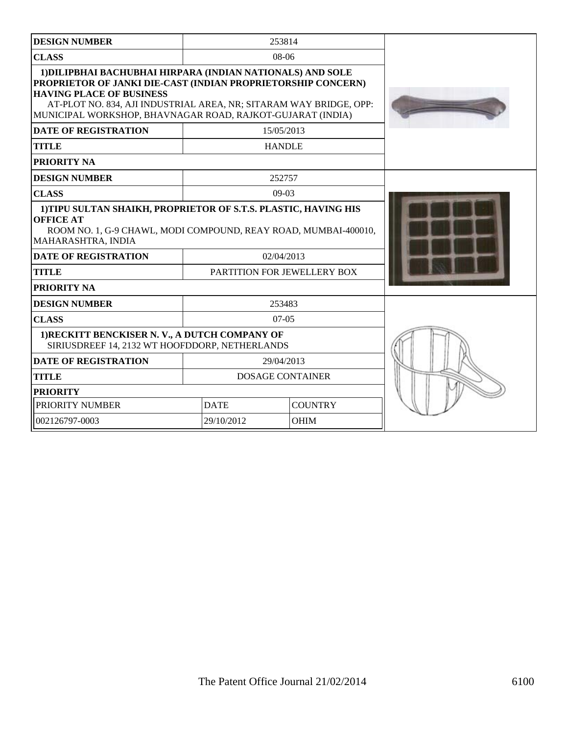| <b>DESIGN NUMBER</b>                                                                                                                                                                                                                                                                              |                             | 253814                  |  |
|---------------------------------------------------------------------------------------------------------------------------------------------------------------------------------------------------------------------------------------------------------------------------------------------------|-----------------------------|-------------------------|--|
| <b>CLASS</b>                                                                                                                                                                                                                                                                                      |                             | $08-06$                 |  |
| 1) DILIPBHAI BACHUBHAI HIRPARA (INDIAN NATIONALS) AND SOLE<br>PROPRIETOR OF JANKI DIE-CAST (INDIAN PROPRIETORSHIP CONCERN)<br><b>HAVING PLACE OF BUSINESS</b><br>AT-PLOT NO. 834, AJI INDUSTRIAL AREA, NR; SITARAM WAY BRIDGE, OPP:<br>MUNICIPAL WORKSHOP, BHAVNAGAR ROAD, RAJKOT-GUJARAT (INDIA) |                             |                         |  |
| <b>DATE OF REGISTRATION</b>                                                                                                                                                                                                                                                                       |                             | 15/05/2013              |  |
| <b>TITLE</b>                                                                                                                                                                                                                                                                                      |                             | <b>HANDLE</b>           |  |
| <b>PRIORITY NA</b>                                                                                                                                                                                                                                                                                |                             |                         |  |
| <b>DESIGN NUMBER</b>                                                                                                                                                                                                                                                                              |                             | 252757                  |  |
| <b>CLASS</b>                                                                                                                                                                                                                                                                                      |                             | $09-03$                 |  |
| 1) TIPU SULTAN SHAIKH, PROPRIETOR OF S.T.S. PLASTIC, HAVING HIS<br><b>OFFICE AT</b><br>ROOM NO. 1, G-9 CHAWL, MODI COMPOUND, REAY ROAD, MUMBAI-400010,<br>MAHARASHTRA, INDIA                                                                                                                      |                             |                         |  |
| <b>DATE OF REGISTRATION</b>                                                                                                                                                                                                                                                                       | 02/04/2013                  |                         |  |
| <b>TITLE</b>                                                                                                                                                                                                                                                                                      | PARTITION FOR JEWELLERY BOX |                         |  |
| <b>PRIORITY NA</b>                                                                                                                                                                                                                                                                                |                             |                         |  |
| <b>DESIGN NUMBER</b>                                                                                                                                                                                                                                                                              |                             | 253483                  |  |
| <b>CLASS</b>                                                                                                                                                                                                                                                                                      |                             | $07-05$                 |  |
| 1) RECKITT BENCKISER N. V., A DUTCH COMPANY OF<br>SIRIUSDREEF 14, 2132 WT HOOFDDORP, NETHERLANDS                                                                                                                                                                                                  |                             |                         |  |
| <b>DATE OF REGISTRATION</b>                                                                                                                                                                                                                                                                       |                             | 29/04/2013              |  |
| <b>TITLE</b>                                                                                                                                                                                                                                                                                      |                             | <b>DOSAGE CONTAINER</b> |  |
| <b>PRIORITY</b>                                                                                                                                                                                                                                                                                   |                             |                         |  |
| PRIORITY NUMBER                                                                                                                                                                                                                                                                                   | <b>DATE</b>                 | <b>COUNTRY</b>          |  |
| 002126797-0003                                                                                                                                                                                                                                                                                    | <b>OHIM</b><br>29/10/2012   |                         |  |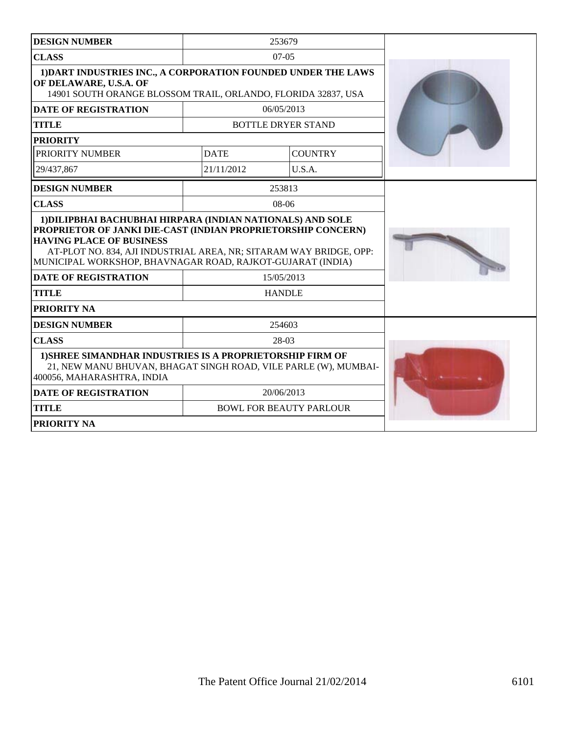| <b>DESIGN NUMBER</b>                                                                                                                                                                                                                                                                              |             | 253679                         |  |
|---------------------------------------------------------------------------------------------------------------------------------------------------------------------------------------------------------------------------------------------------------------------------------------------------|-------------|--------------------------------|--|
| <b>CLASS</b>                                                                                                                                                                                                                                                                                      |             | $07-05$                        |  |
| 1) DART INDUSTRIES INC., A CORPORATION FOUNDED UNDER THE LAWS<br>OF DELAWARE, U.S.A. OF<br>14901 SOUTH ORANGE BLOSSOM TRAIL, ORLANDO, FLORIDA 32837, USA                                                                                                                                          |             |                                |  |
| <b>DATE OF REGISTRATION</b>                                                                                                                                                                                                                                                                       |             | 06/05/2013                     |  |
| <b>TITLE</b>                                                                                                                                                                                                                                                                                      |             | <b>BOTTLE DRYER STAND</b>      |  |
| <b>PRIORITY</b>                                                                                                                                                                                                                                                                                   |             |                                |  |
| PRIORITY NUMBER                                                                                                                                                                                                                                                                                   | <b>DATE</b> | <b>COUNTRY</b>                 |  |
| 29/437,867                                                                                                                                                                                                                                                                                        | 21/11/2012  | U.S.A.                         |  |
| <b>DESIGN NUMBER</b>                                                                                                                                                                                                                                                                              |             | 253813                         |  |
| <b>CLASS</b>                                                                                                                                                                                                                                                                                      |             | $08-06$                        |  |
| 1) DILIPBHAI BACHUBHAI HIRPARA (INDIAN NATIONALS) AND SOLE<br>PROPRIETOR OF JANKI DIE-CAST (INDIAN PROPRIETORSHIP CONCERN)<br><b>HAVING PLACE OF BUSINESS</b><br>AT-PLOT NO. 834, AJI INDUSTRIAL AREA, NR; SITARAM WAY BRIDGE, OPP:<br>MUNICIPAL WORKSHOP, BHAVNAGAR ROAD, RAJKOT-GUJARAT (INDIA) |             |                                |  |
| <b>DATE OF REGISTRATION</b>                                                                                                                                                                                                                                                                       |             | 15/05/2013                     |  |
| <b>TITLE</b>                                                                                                                                                                                                                                                                                      |             | <b>HANDLE</b>                  |  |
| PRIORITY NA                                                                                                                                                                                                                                                                                       |             |                                |  |
| <b>DESIGN NUMBER</b>                                                                                                                                                                                                                                                                              |             | 254603                         |  |
| <b>CLASS</b>                                                                                                                                                                                                                                                                                      |             | 28-03                          |  |
| 1) SHREE SIMANDHAR INDUSTRIES IS A PROPRIETORSHIP FIRM OF<br>21, NEW MANU BHUVAN, BHAGAT SINGH ROAD, VILE PARLE (W), MUMBAI-<br>400056, MAHARASHTRA, INDIA                                                                                                                                        |             |                                |  |
| <b>DATE OF REGISTRATION</b>                                                                                                                                                                                                                                                                       |             | 20/06/2013                     |  |
| <b>TITLE</b>                                                                                                                                                                                                                                                                                      |             | <b>BOWL FOR BEAUTY PARLOUR</b> |  |
| <b>PRIORITY NA</b>                                                                                                                                                                                                                                                                                |             |                                |  |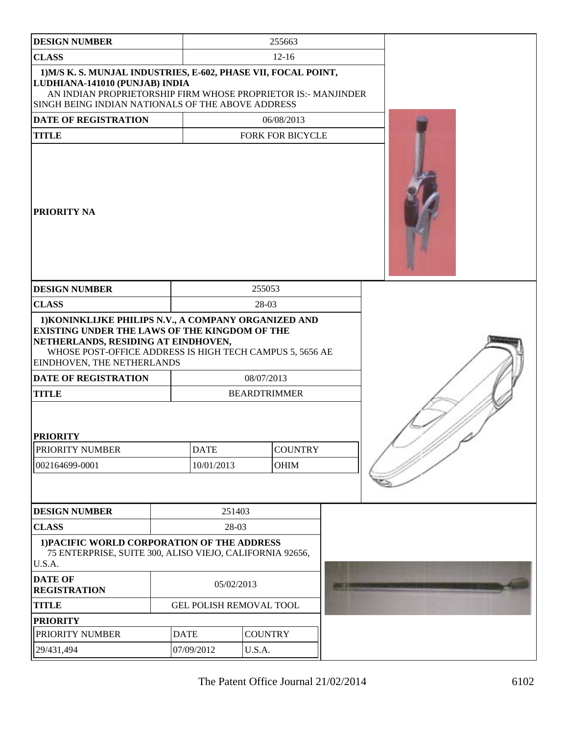| <b>DESIGN NUMBER</b>                                                                                                                                                                                                                          |             |                         |                | 255663                  |  |
|-----------------------------------------------------------------------------------------------------------------------------------------------------------------------------------------------------------------------------------------------|-------------|-------------------------|----------------|-------------------------|--|
| <b>CLASS</b>                                                                                                                                                                                                                                  |             | $12 - 16$               |                |                         |  |
| 1) M/S K. S. MUNJAL INDUSTRIES, E-602, PHASE VII, FOCAL POINT,<br>LUDHIANA-141010 (PUNJAB) INDIA<br>AN INDIAN PROPRIETORSHIP FIRM WHOSE PROPRIETOR IS:- MANJINDER<br>SINGH BEING INDIAN NATIONALS OF THE ABOVE ADDRESS                        |             |                         |                |                         |  |
| <b>DATE OF REGISTRATION</b>                                                                                                                                                                                                                   |             |                         |                | 06/08/2013              |  |
| <b>TITLE</b>                                                                                                                                                                                                                                  |             |                         |                | <b>FORK FOR BICYCLE</b> |  |
| PRIORITY NA                                                                                                                                                                                                                                   |             |                         |                |                         |  |
| <b>DESIGN NUMBER</b>                                                                                                                                                                                                                          |             |                         | 255053         |                         |  |
| <b>CLASS</b>                                                                                                                                                                                                                                  |             |                         | 28-03          |                         |  |
| 1) KONINKLIJKE PHILIPS N.V., A COMPANY ORGANIZED AND<br><b>EXISTING UNDER THE LAWS OF THE KINGDOM OF THE</b><br>NETHERLANDS, RESIDING AT EINDHOVEN,<br>WHOSE POST-OFFICE ADDRESS IS HIGH TECH CAMPUS 5, 5656 AE<br>EINDHOVEN, THE NETHERLANDS |             |                         |                |                         |  |
| <b>DATE OF REGISTRATION</b>                                                                                                                                                                                                                   |             |                         | 08/07/2013     |                         |  |
| <b>TITLE</b><br><b>PRIORITY</b>                                                                                                                                                                                                               |             |                         |                | <b>BEARDTRIMMER</b>     |  |
| PRIORITY NUMBER                                                                                                                                                                                                                               |             | <b>DATE</b>             |                | <b>COUNTRY</b>          |  |
| 002164699-0001                                                                                                                                                                                                                                |             | 10/01/2013              |                | <b>OHIM</b>             |  |
|                                                                                                                                                                                                                                               |             |                         |                |                         |  |
| <b>DESIGN NUMBER</b>                                                                                                                                                                                                                          |             | 251403                  |                |                         |  |
| <b>CLASS</b>                                                                                                                                                                                                                                  |             | 28-03                   |                |                         |  |
| 1) PACIFIC WORLD CORPORATION OF THE ADDRESS<br>75 ENTERPRISE, SUITE 300, ALISO VIEJO, CALIFORNIA 92656,<br>U.S.A.                                                                                                                             |             |                         |                |                         |  |
| <b>DATE OF</b><br><b>REGISTRATION</b>                                                                                                                                                                                                         |             | 05/02/2013              |                |                         |  |
| <b>TITLE</b>                                                                                                                                                                                                                                  |             | GEL POLISH REMOVAL TOOL |                |                         |  |
| <b>PRIORITY</b>                                                                                                                                                                                                                               |             |                         |                |                         |  |
| PRIORITY NUMBER                                                                                                                                                                                                                               | <b>DATE</b> |                         | <b>COUNTRY</b> |                         |  |
| 29/431,494                                                                                                                                                                                                                                    |             | 07/09/2012<br>U.S.A.    |                |                         |  |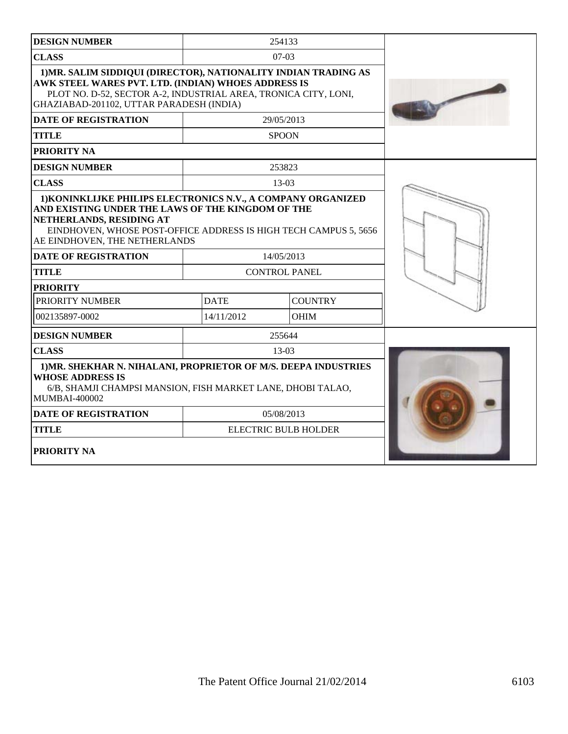| <b>DESIGN NUMBER</b>                                                                                                                                                                                                                                                                            |             | 254133                      |  |
|-------------------------------------------------------------------------------------------------------------------------------------------------------------------------------------------------------------------------------------------------------------------------------------------------|-------------|-----------------------------|--|
| <b>CLASS</b>                                                                                                                                                                                                                                                                                    |             | $07-03$                     |  |
| 1) MR. SALIM SIDDIQUI (DIRECTOR), NATIONALITY INDIAN TRADING AS<br>AWK STEEL WARES PVT. LTD. (INDIAN) WHOES ADDRESS IS<br>PLOT NO. D-52, SECTOR A-2, INDUSTRIAL AREA, TRONICA CITY, LONI,<br>GHAZIABAD-201102, UTTAR PARADESH (INDIA)                                                           |             |                             |  |
| <b>DATE OF REGISTRATION</b>                                                                                                                                                                                                                                                                     |             | 29/05/2013                  |  |
| <b>TITLE</b>                                                                                                                                                                                                                                                                                    |             | <b>SPOON</b>                |  |
| PRIORITY NA                                                                                                                                                                                                                                                                                     |             |                             |  |
| <b>DESIGN NUMBER</b>                                                                                                                                                                                                                                                                            |             | 253823                      |  |
| <b>CLASS</b>                                                                                                                                                                                                                                                                                    |             | 13-03                       |  |
| 1) KONINKLIJKE PHILIPS ELECTRONICS N.V., A COMPANY ORGANIZED<br>AND EXISTING UNDER THE LAWS OF THE KINGDOM OF THE<br>NETHERLANDS, RESIDING AT<br>EINDHOVEN, WHOSE POST-OFFICE ADDRESS IS HIGH TECH CAMPUS 5, 5656<br>AE EINDHOVEN, THE NETHERLANDS<br>14/05/2013<br><b>DATE OF REGISTRATION</b> |             |                             |  |
| <b>TITLE</b>                                                                                                                                                                                                                                                                                    |             | <b>CONTROL PANEL</b>        |  |
| <b>PRIORITY</b>                                                                                                                                                                                                                                                                                 |             |                             |  |
| PRIORITY NUMBER                                                                                                                                                                                                                                                                                 | <b>DATE</b> | <b>COUNTRY</b>              |  |
| 002135897-0002                                                                                                                                                                                                                                                                                  | 14/11/2012  | <b>OHIM</b>                 |  |
| <b>DESIGN NUMBER</b>                                                                                                                                                                                                                                                                            |             | 255644                      |  |
| <b>CLASS</b>                                                                                                                                                                                                                                                                                    |             | $13-03$                     |  |
| 1) MR. SHEKHAR N. NIHALANI, PROPRIETOR OF M/S. DEEPA INDUSTRIES<br><b>WHOSE ADDRESS IS</b><br>6/B, SHAMJI CHAMPSI MANSION, FISH MARKET LANE, DHOBI TALAO,<br>MUMBAI-400002                                                                                                                      |             |                             |  |
| <b>DATE OF REGISTRATION</b>                                                                                                                                                                                                                                                                     |             | 05/08/2013                  |  |
| <b>TITLE</b>                                                                                                                                                                                                                                                                                    |             | <b>ELECTRIC BULB HOLDER</b> |  |
| <b>PRIORITY NA</b>                                                                                                                                                                                                                                                                              |             |                             |  |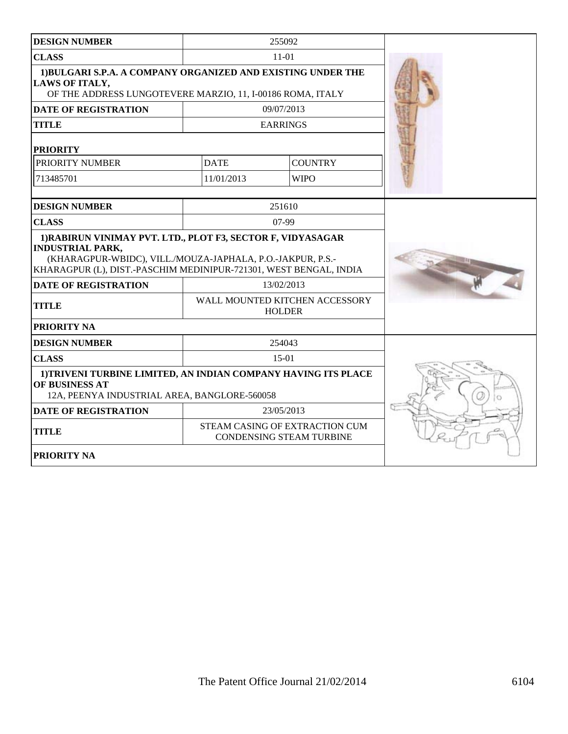| <b>DESIGN NUMBER</b>                                                                                                                                                                                                                                     |             | 255092                                                            |  |
|----------------------------------------------------------------------------------------------------------------------------------------------------------------------------------------------------------------------------------------------------------|-------------|-------------------------------------------------------------------|--|
| <b>CLASS</b>                                                                                                                                                                                                                                             |             | $11 - 01$                                                         |  |
| 1) BULGARI S.P.A. A COMPANY ORGANIZED AND EXISTING UNDER THE<br><b>LAWS OF ITALY,</b><br>OF THE ADDRESS LUNGOTEVERE MARZIO, 11, I-00186 ROMA, ITALY                                                                                                      |             |                                                                   |  |
| <b>DATE OF REGISTRATION</b>                                                                                                                                                                                                                              |             | 09/07/2013                                                        |  |
| <b>TITLE</b>                                                                                                                                                                                                                                             |             | <b>EARRINGS</b>                                                   |  |
| <b>PRIORITY</b>                                                                                                                                                                                                                                          |             |                                                                   |  |
| PRIORITY NUMBER                                                                                                                                                                                                                                          | <b>DATE</b> | <b>COUNTRY</b>                                                    |  |
| 713485701                                                                                                                                                                                                                                                | 11/01/2013  | <b>WIPO</b>                                                       |  |
| <b>DESIGN NUMBER</b>                                                                                                                                                                                                                                     |             | 251610                                                            |  |
| <b>CLASS</b>                                                                                                                                                                                                                                             |             | $07-99$                                                           |  |
| 1) RABIRUN VINIMAY PVT. LTD., PLOT F3, SECTOR F, VIDYASAGAR<br><b>INDUSTRIAL PARK,</b><br>(KHARAGPUR-WBIDC), VILL./MOUZA-JAPHALA, P.O.-JAKPUR, P.S.-<br>KHARAGPUR (L), DIST.-PASCHIM MEDINIPUR-721301, WEST BENGAL, INDIA<br><b>DATE OF REGISTRATION</b> |             |                                                                   |  |
| <b>TITLE</b>                                                                                                                                                                                                                                             |             | WALL MOUNTED KITCHEN ACCESSORY<br><b>HOLDER</b>                   |  |
| PRIORITY NA                                                                                                                                                                                                                                              |             |                                                                   |  |
| <b>DESIGN NUMBER</b>                                                                                                                                                                                                                                     |             | 254043                                                            |  |
| <b>CLASS</b>                                                                                                                                                                                                                                             |             | $15-01$                                                           |  |
| 1) TRIVENI TURBINE LIMITED, AN INDIAN COMPANY HAVING ITS PLACE<br>OF BUSINESS AT<br>12A, PEENYA INDUSTRIAL AREA, BANGLORE-560058                                                                                                                         |             |                                                                   |  |
| <b>DATE OF REGISTRATION</b>                                                                                                                                                                                                                              |             | 23/05/2013                                                        |  |
| <b>TITLE</b>                                                                                                                                                                                                                                             |             | STEAM CASING OF EXTRACTION CUM<br><b>CONDENSING STEAM TURBINE</b> |  |
| <b>PRIORITY NA</b>                                                                                                                                                                                                                                       |             |                                                                   |  |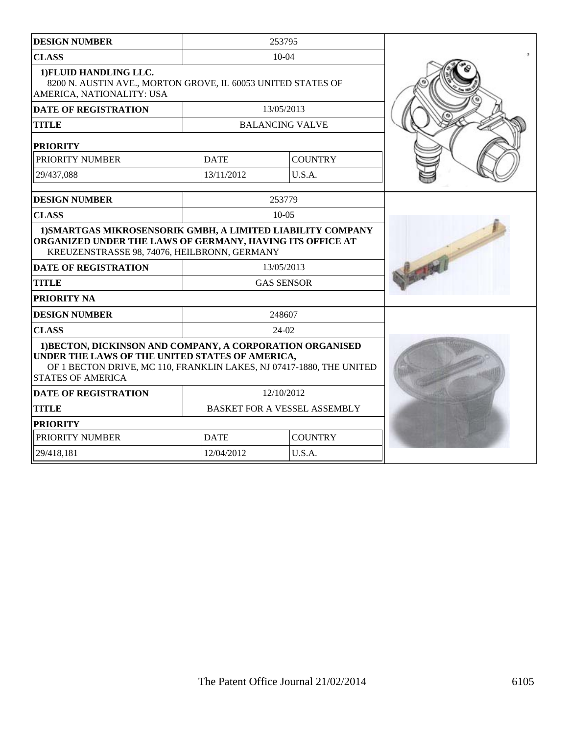| <b>DESIGN NUMBER</b>                                                                                                                                                                                             | 253795                       |                        |                |  |
|------------------------------------------------------------------------------------------------------------------------------------------------------------------------------------------------------------------|------------------------------|------------------------|----------------|--|
| <b>CLASS</b>                                                                                                                                                                                                     | $10-04$                      |                        |                |  |
| 1) FLUID HANDLING LLC.<br>8200 N. AUSTIN AVE., MORTON GROVE, IL 60053 UNITED STATES OF<br>AMERICA, NATIONALITY: USA                                                                                              |                              |                        |                |  |
| <b>DATE OF REGISTRATION</b>                                                                                                                                                                                      |                              | 13/05/2013             |                |  |
| <b>TITLE</b>                                                                                                                                                                                                     |                              | <b>BALANCING VALVE</b> |                |  |
| <b>PRIORITY</b>                                                                                                                                                                                                  |                              |                        |                |  |
| PRIORITY NUMBER                                                                                                                                                                                                  |                              | <b>DATE</b>            | <b>COUNTRY</b> |  |
| 29/437,088                                                                                                                                                                                                       |                              | 13/11/2012             | U.S.A.         |  |
| <b>DESIGN NUMBER</b>                                                                                                                                                                                             |                              | 253779                 |                |  |
| <b>CLASS</b>                                                                                                                                                                                                     |                              | $10 - 05$              |                |  |
| 1) SMARTGAS MIKROSENSORIK GMBH, A LIMITED LIABILITY COMPANY<br>ORGANIZED UNDER THE LAWS OF GERMANY, HAVING ITS OFFICE AT<br>KREUZENSTRASSE 98, 74076, HEILBRONN, GERMANY                                         |                              |                        |                |  |
| <b>DATE OF REGISTRATION</b>                                                                                                                                                                                      |                              | 13/05/2013             |                |  |
| <b>TITLE</b>                                                                                                                                                                                                     | <b>GAS SENSOR</b>            |                        |                |  |
| <b>PRIORITY NA</b>                                                                                                                                                                                               |                              |                        |                |  |
| <b>DESIGN NUMBER</b>                                                                                                                                                                                             |                              | 248607                 |                |  |
| <b>CLASS</b>                                                                                                                                                                                                     |                              | 24-02                  |                |  |
| 1) BECTON, DICKINSON AND COMPANY, A CORPORATION ORGANISED<br>UNDER THE LAWS OF THE UNITED STATES OF AMERICA,<br>OF 1 BECTON DRIVE, MC 110, FRANKLIN LAKES, NJ 07417-1880, THE UNITED<br><b>STATES OF AMERICA</b> |                              |                        |                |  |
| <b>DATE OF REGISTRATION</b>                                                                                                                                                                                      | 12/10/2012                   |                        |                |  |
| <b>TITLE</b>                                                                                                                                                                                                     | BASKET FOR A VESSEL ASSEMBLY |                        |                |  |
| <b>PRIORITY</b>                                                                                                                                                                                                  |                              |                        |                |  |
| PRIORITY NUMBER                                                                                                                                                                                                  |                              | <b>DATE</b>            | <b>COUNTRY</b> |  |
| 29/418,181                                                                                                                                                                                                       | U.S.A.<br>12/04/2012         |                        |                |  |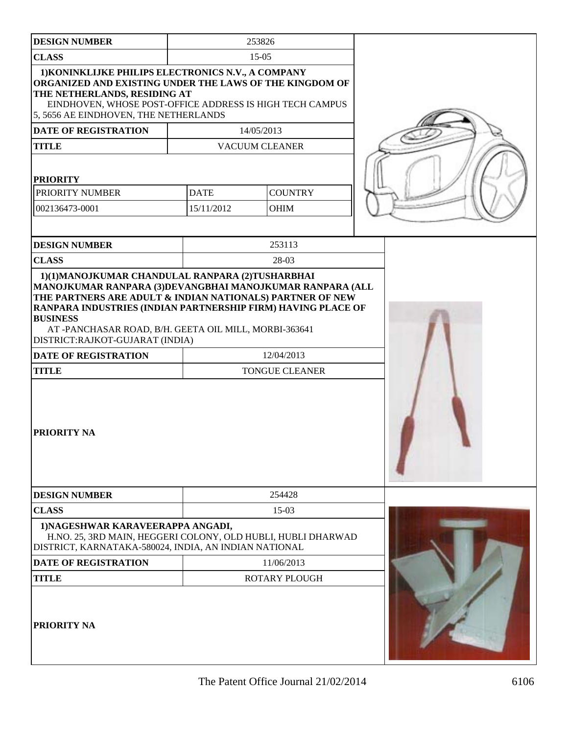| <b>DESIGN NUMBER</b>                                                                                                                                                                                                                                                                                                                                                      |                           | 253826                              |  |
|---------------------------------------------------------------------------------------------------------------------------------------------------------------------------------------------------------------------------------------------------------------------------------------------------------------------------------------------------------------------------|---------------------------|-------------------------------------|--|
| <b>CLASS</b>                                                                                                                                                                                                                                                                                                                                                              | $15-05$                   |                                     |  |
| 1) KONINKLIJKE PHILIPS ELECTRONICS N.V., A COMPANY<br>ORGANIZED AND EXISTING UNDER THE LAWS OF THE KINGDOM OF<br>THE NETHERLANDS, RESIDING AT<br>EINDHOVEN, WHOSE POST-OFFICE ADDRESS IS HIGH TECH CAMPUS<br>5, 5656 AE EINDHOVEN, THE NETHERLANDS                                                                                                                        |                           |                                     |  |
| <b>DATE OF REGISTRATION</b>                                                                                                                                                                                                                                                                                                                                               |                           | 14/05/2013                          |  |
| <b>TITLE</b>                                                                                                                                                                                                                                                                                                                                                              |                           | <b>VACUUM CLEANER</b>               |  |
| <b>PRIORITY</b><br>PRIORITY NUMBER<br>002136473-0001                                                                                                                                                                                                                                                                                                                      | <b>DATE</b><br>15/11/2012 | <b>COUNTRY</b><br><b>OHIM</b>       |  |
| <b>DESIGN NUMBER</b>                                                                                                                                                                                                                                                                                                                                                      |                           | 253113                              |  |
| <b>CLASS</b>                                                                                                                                                                                                                                                                                                                                                              |                           | 28-03                               |  |
| MANOJKUMAR RANPARA (3)DEVANGBHAI MANOJKUMAR RANPARA (ALL<br>THE PARTNERS ARE ADULT & INDIAN NATIONALS) PARTNER OF NEW<br>RANPARA INDUSTRIES (INDIAN PARTNERSHIP FIRM) HAVING PLACE OF<br><b>BUSINESS</b><br>AT -PANCHASAR ROAD, B/H. GEETA OIL MILL, MORBI-363641<br>DISTRICT:RAJKOT-GUJARAT (INDIA)<br><b>DATE OF REGISTRATION</b><br><b>TITLE</b><br><b>PRIORITY NA</b> |                           | 12/04/2013<br><b>TONGUE CLEANER</b> |  |
| <b>DESIGN NUMBER</b>                                                                                                                                                                                                                                                                                                                                                      |                           | 254428                              |  |
| <b>CLASS</b>                                                                                                                                                                                                                                                                                                                                                              |                           | $15-03$                             |  |
| 1) NAGESHWAR KARAVEERAPPA ANGADI,<br>H.NO. 25, 3RD MAIN, HEGGERI COLONY, OLD HUBLI, HUBLI DHARWAD<br>DISTRICT, KARNATAKA-580024, INDIA, AN INDIAN NATIONAL                                                                                                                                                                                                                |                           |                                     |  |
| <b>DATE OF REGISTRATION</b>                                                                                                                                                                                                                                                                                                                                               |                           | 11/06/2013                          |  |
| <b>TITLE</b><br><b>PRIORITY NA</b>                                                                                                                                                                                                                                                                                                                                        |                           | <b>ROTARY PLOUGH</b>                |  |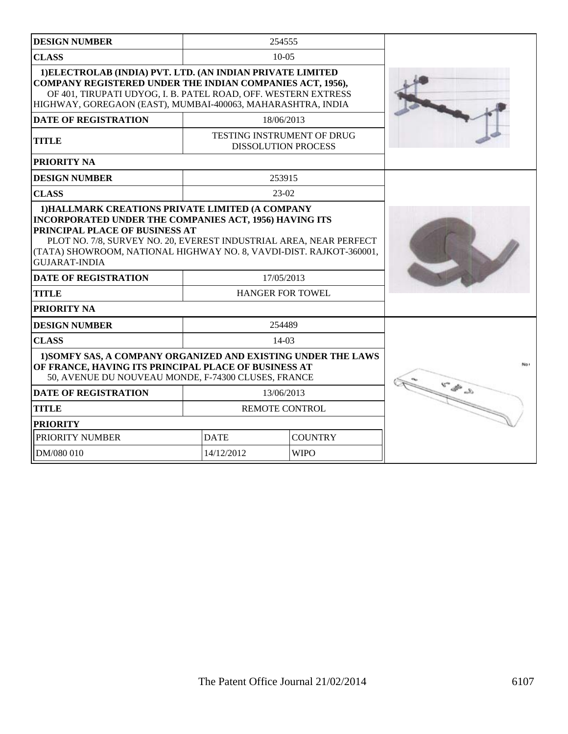| <b>DESIGN NUMBER</b>                                                                                                                                                                                                                                                                                                |                                               | 254555                                                          |  |
|---------------------------------------------------------------------------------------------------------------------------------------------------------------------------------------------------------------------------------------------------------------------------------------------------------------------|-----------------------------------------------|-----------------------------------------------------------------|--|
| <b>CLASS</b>                                                                                                                                                                                                                                                                                                        |                                               | $10-0.5$                                                        |  |
| 1) ELECTROLAB (INDIA) PVT. LTD. (AN INDIAN PRIVATE LIMITED<br><b>COMPANY REGISTERED UNDER THE INDIAN COMPANIES ACT, 1956),</b><br>OF 401, TIRUPATI UDYOG, I. B. PATEL ROAD, OFF. WESTERN EXTRESS<br>HIGHWAY, GOREGAON (EAST), MUMBAI-400063, MAHARASHTRA, INDIA                                                     |                                               |                                                                 |  |
| <b>DATE OF REGISTRATION</b>                                                                                                                                                                                                                                                                                         |                                               | 18/06/2013                                                      |  |
| <b>TITLE</b>                                                                                                                                                                                                                                                                                                        |                                               | <b>TESTING INSTRUMENT OF DRUG</b><br><b>DISSOLUTION PROCESS</b> |  |
| PRIORITY NA                                                                                                                                                                                                                                                                                                         |                                               |                                                                 |  |
| <b>DESIGN NUMBER</b>                                                                                                                                                                                                                                                                                                |                                               | 253915                                                          |  |
| <b>CLASS</b>                                                                                                                                                                                                                                                                                                        |                                               | $23-02$                                                         |  |
| <b>INCORPORATED UNDER THE COMPANIES ACT, 1956) HAVING ITS</b><br>PRINCIPAL PLACE OF BUSINESS AT<br>PLOT NO. 7/8, SURVEY NO. 20, EVEREST INDUSTRIAL AREA, NEAR PERFECT<br>(TATA) SHOWROOM, NATIONAL HIGHWAY NO. 8, VAVDI-DIST. RAJKOT-360001,<br><b>GUJARAT-INDIA</b><br><b>DATE OF REGISTRATION</b><br><b>TITLE</b> |                                               |                                                                 |  |
| PRIORITY NA                                                                                                                                                                                                                                                                                                         |                                               |                                                                 |  |
| <b>DESIGN NUMBER</b>                                                                                                                                                                                                                                                                                                |                                               | 254489                                                          |  |
| <b>CLASS</b>                                                                                                                                                                                                                                                                                                        |                                               | $14-03$                                                         |  |
| 1) SOMFY SAS, A COMPANY ORGANIZED AND EXISTING UNDER THE LAWS<br>OF FRANCE, HAVING ITS PRINCIPAL PLACE OF BUSINESS AT<br>50, AVENUE DU NOUVEAU MONDE, F-74300 CLUSES, FRANCE<br><b>DATE OF REGISTRATION</b>                                                                                                         | $\mathcal{L} \approx \mathcal{L} \approx 0.5$ |                                                                 |  |
| <b>TITLE</b>                                                                                                                                                                                                                                                                                                        |                                               | 13/06/2013<br>REMOTE CONTROL                                    |  |
| <b>PRIORITY</b>                                                                                                                                                                                                                                                                                                     |                                               |                                                                 |  |
| PRIORITY NUMBER                                                                                                                                                                                                                                                                                                     | <b>DATE</b>                                   | <b>COUNTRY</b>                                                  |  |
| DM/080 010                                                                                                                                                                                                                                                                                                          | 14/12/2012                                    | <b>WIPO</b>                                                     |  |
|                                                                                                                                                                                                                                                                                                                     |                                               |                                                                 |  |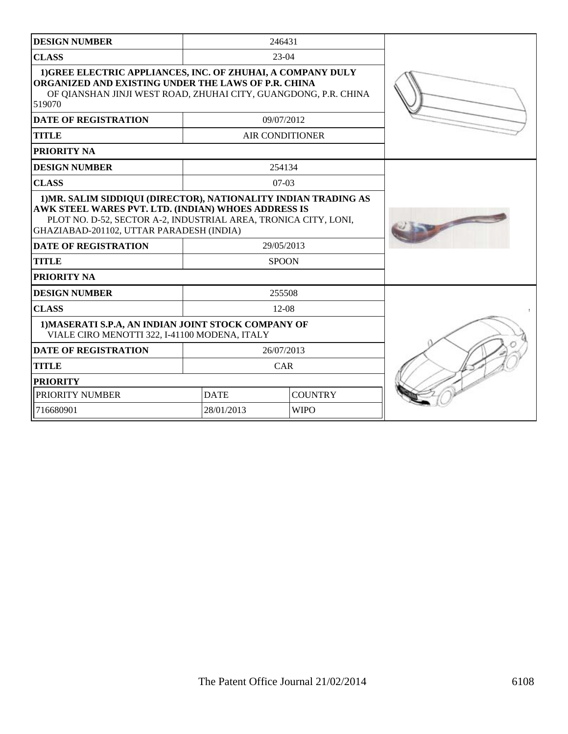| <b>DESIGN NUMBER</b>                                                                                                                                                                            |             | 246431                 |  |
|-------------------------------------------------------------------------------------------------------------------------------------------------------------------------------------------------|-------------|------------------------|--|
| <b>CLASS</b>                                                                                                                                                                                    |             | $23-04$                |  |
| 1) GREE ELECTRIC APPLIANCES, INC. OF ZHUHAI, A COMPANY DULY<br>ORGANIZED AND EXISTING UNDER THE LAWS OF P.R. CHINA<br>OF QIANSHAN JINJI WEST ROAD, ZHUHAI CITY, GUANGDONG, P.R. CHINA<br>519070 |             |                        |  |
| <b>DATE OF REGISTRATION</b>                                                                                                                                                                     |             | 09/07/2012             |  |
| <b>TITLE</b>                                                                                                                                                                                    |             | <b>AIR CONDITIONER</b> |  |
| PRIORITY NA                                                                                                                                                                                     |             |                        |  |
| <b>DESIGN NUMBER</b>                                                                                                                                                                            |             | 254134                 |  |
| <b>CLASS</b>                                                                                                                                                                                    |             | $07-03$                |  |
| AWK STEEL WARES PVT. LTD. (INDIAN) WHOES ADDRESS IS<br>PLOT NO. D-52, SECTOR A-2, INDUSTRIAL AREA, TRONICA CITY, LONI,<br>GHAZIABAD-201102, UTTAR PARADESH (INDIA)                              |             |                        |  |
| <b>DATE OF REGISTRATION</b>                                                                                                                                                                     |             | 29/05/2013             |  |
| <b>TITLE</b>                                                                                                                                                                                    |             | <b>SPOON</b>           |  |
| PRIORITY NA                                                                                                                                                                                     |             |                        |  |
| <b>DESIGN NUMBER</b>                                                                                                                                                                            |             | 255508                 |  |
| <b>CLASS</b>                                                                                                                                                                                    |             | $12-08$                |  |
| 1) MASERATI S.P.A, AN INDIAN JOINT STOCK COMPANY OF<br>VIALE CIRO MENOTTI 322, I-41100 MODENA, ITALY                                                                                            |             |                        |  |
| <b>DATE OF REGISTRATION</b>                                                                                                                                                                     |             | 26/07/2013             |  |
| <b>TITLE</b>                                                                                                                                                                                    |             | CAR                    |  |
| <b>PRIORITY</b>                                                                                                                                                                                 |             |                        |  |
| PRIORITY NUMBER                                                                                                                                                                                 | <b>DATE</b> | <b>COUNTRY</b>         |  |
| 716680901                                                                                                                                                                                       | 28/01/2013  | <b>WIPO</b>            |  |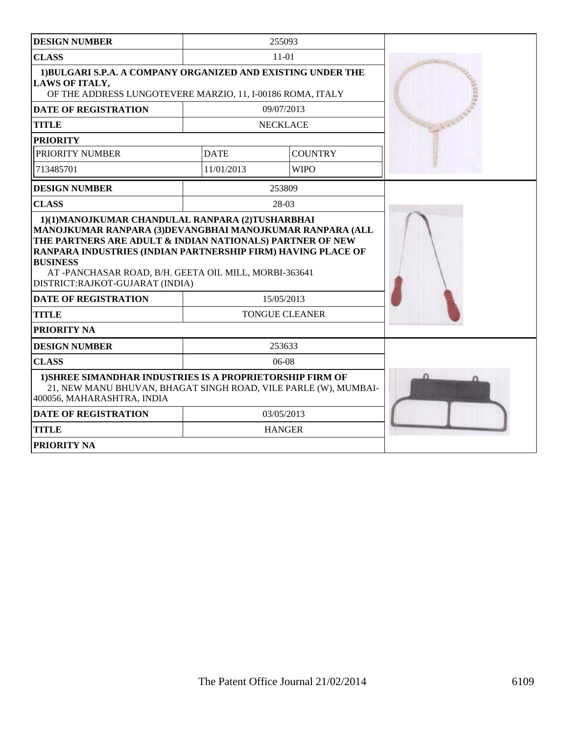| <b>DESIGN NUMBER</b>                                                                                                                                                                                                                    |             | 255093                |  |
|-----------------------------------------------------------------------------------------------------------------------------------------------------------------------------------------------------------------------------------------|-------------|-----------------------|--|
| <b>CLASS</b>                                                                                                                                                                                                                            |             | $11-01$               |  |
| 1)BULGARI S.P.A. A COMPANY ORGANIZED AND EXISTING UNDER THE<br><b>LAWS OF ITALY,</b><br>OF THE ADDRESS LUNGOTEVERE MARZIO, 11, I-00186 ROMA, ITALY                                                                                      |             |                       |  |
| <b>DATE OF REGISTRATION</b>                                                                                                                                                                                                             |             | 09/07/2013            |  |
| <b>TITLE</b>                                                                                                                                                                                                                            |             | <b>NECKLACE</b>       |  |
| <b>PRIORITY</b>                                                                                                                                                                                                                         |             |                       |  |
| PRIORITY NUMBER                                                                                                                                                                                                                         | <b>DATE</b> | <b>COUNTRY</b>        |  |
| 713485701                                                                                                                                                                                                                               | 11/01/2013  | <b>WIPO</b>           |  |
| <b>DESIGN NUMBER</b>                                                                                                                                                                                                                    |             | 253809                |  |
| <b>CLASS</b>                                                                                                                                                                                                                            |             | 28-03                 |  |
| THE PARTNERS ARE ADULT & INDIAN NATIONALS) PARTNER OF NEW<br>RANPARA INDUSTRIES (INDIAN PARTNERSHIP FIRM) HAVING PLACE OF<br><b>BUSINESS</b><br>AT-PANCHASAR ROAD, B/H. GEETA OIL MILL, MORBI-363641<br>DISTRICT:RAJKOT-GUJARAT (INDIA) |             |                       |  |
| <b>DATE OF REGISTRATION</b>                                                                                                                                                                                                             |             | 15/05/2013            |  |
| <b>TITLE</b>                                                                                                                                                                                                                            |             | <b>TONGUE CLEANER</b> |  |
| PRIORITY NA                                                                                                                                                                                                                             |             |                       |  |
| <b>DESIGN NUMBER</b>                                                                                                                                                                                                                    |             | 253633                |  |
| <b>CLASS</b>                                                                                                                                                                                                                            |             | $06-08$               |  |
| 1) SHREE SIMANDHAR INDUSTRIES IS A PROPRIETORSHIP FIRM OF<br>21, NEW MANU BHUVAN, BHAGAT SINGH ROAD, VILE PARLE (W), MUMBAI-<br>400056, MAHARASHTRA, INDIA                                                                              |             |                       |  |
| <b>DATE OF REGISTRATION</b>                                                                                                                                                                                                             |             | 03/05/2013            |  |
| <b>TITLE</b>                                                                                                                                                                                                                            |             | <b>HANGER</b>         |  |
| PRIORITY NA                                                                                                                                                                                                                             |             |                       |  |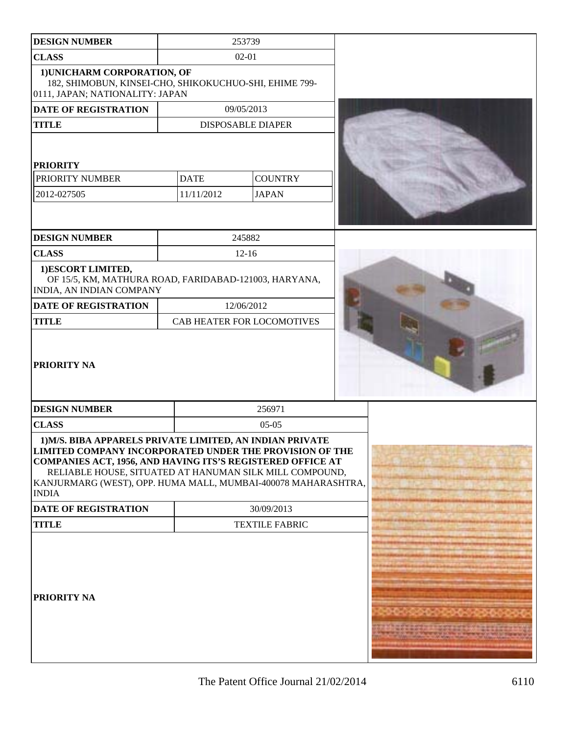| <b>DESIGN NUMBER</b>                                                                                                                                                                                                                                                                                                                                  |                           | 253739                         |  |
|-------------------------------------------------------------------------------------------------------------------------------------------------------------------------------------------------------------------------------------------------------------------------------------------------------------------------------------------------------|---------------------------|--------------------------------|--|
| <b>CLASS</b>                                                                                                                                                                                                                                                                                                                                          | $02 - 01$                 |                                |  |
| 1) UNICHARM CORPORATION, OF<br>182, SHIMOBUN, KINSEI-CHO, SHIKOKUCHUO-SHI, EHIME 799-<br>0111, JAPAN; NATIONALITY: JAPAN                                                                                                                                                                                                                              |                           |                                |  |
| <b>DATE OF REGISTRATION</b>                                                                                                                                                                                                                                                                                                                           |                           | 09/05/2013                     |  |
| <b>TITLE</b>                                                                                                                                                                                                                                                                                                                                          |                           | <b>DISPOSABLE DIAPER</b>       |  |
| <b>PRIORITY</b><br>PRIORITY NUMBER<br>2012-027505                                                                                                                                                                                                                                                                                                     | <b>DATE</b><br>11/11/2012 | <b>COUNTRY</b><br><b>JAPAN</b> |  |
| <b>DESIGN NUMBER</b>                                                                                                                                                                                                                                                                                                                                  |                           | 245882                         |  |
| <b>CLASS</b>                                                                                                                                                                                                                                                                                                                                          |                           | $12 - 16$                      |  |
| 1)ESCORT LIMITED,<br>OF 15/5, KM, MATHURA ROAD, FARIDABAD-121003, HARYANA,<br>INDIA, AN INDIAN COMPANY                                                                                                                                                                                                                                                |                           |                                |  |
| <b>DATE OF REGISTRATION</b>                                                                                                                                                                                                                                                                                                                           |                           | 12/06/2012                     |  |
| <b>TITLE</b>                                                                                                                                                                                                                                                                                                                                          |                           | CAB HEATER FOR LOCOMOTIVES     |  |
| PRIORITY NA                                                                                                                                                                                                                                                                                                                                           |                           |                                |  |
| <b>DESIGN NUMBER</b>                                                                                                                                                                                                                                                                                                                                  |                           | 256971                         |  |
| <b>CLASS</b>                                                                                                                                                                                                                                                                                                                                          |                           | $05-05$                        |  |
| 1) M/S. BIBA APPARELS PRIVATE LIMITED, AN INDIAN PRIVATE<br>LIMITED COMPANY INCORPORATED UNDER THE PROVISION OF THE<br>COMPANIES ACT, 1956, AND HAVING ITS'S REGISTERED OFFICE AT<br>RELIABLE HOUSE, SITUATED AT HANUMAN SILK MILL COMPOUND,<br>KANJURMARG (WEST), OPP. HUMA MALL, MUMBAI-400078 MAHARASHTRA,<br><b>INDIA</b><br>DATE OF REGISTRATION |                           | 30/09/2013                     |  |
| <b>TITLE</b>                                                                                                                                                                                                                                                                                                                                          | <b>TEXTILE FABRIC</b>     |                                |  |
| PRIORITY NA                                                                                                                                                                                                                                                                                                                                           |                           |                                |  |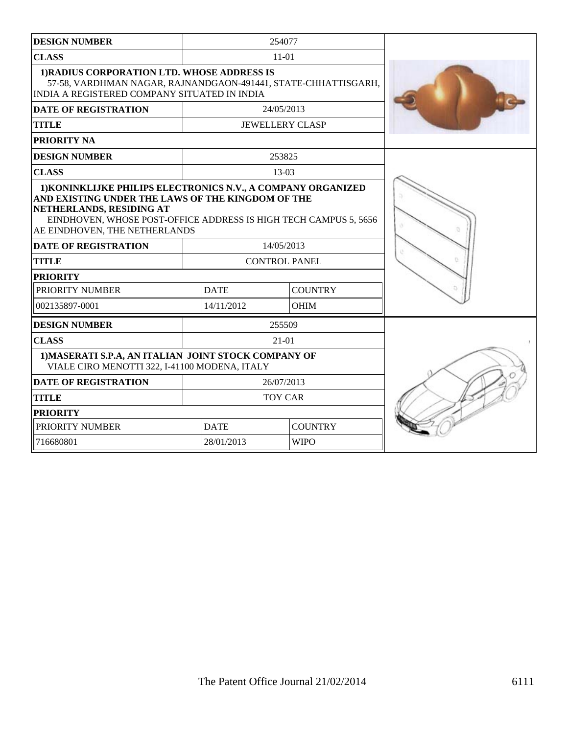| <b>DESIGN NUMBER</b>                                                                                                                                                                                                                               |             | 254077                 |  |
|----------------------------------------------------------------------------------------------------------------------------------------------------------------------------------------------------------------------------------------------------|-------------|------------------------|--|
| <b>CLASS</b>                                                                                                                                                                                                                                       |             | $11 - 01$              |  |
| 1) RADIUS CORPORATION LTD. WHOSE ADDRESS IS<br>57-58, VARDHMAN NAGAR, RAJNANDGAON-491441, STATE-CHHATTISGARH,<br>INDIA A REGISTERED COMPANY SITUATED IN INDIA                                                                                      |             |                        |  |
| <b>DATE OF REGISTRATION</b>                                                                                                                                                                                                                        |             | 24/05/2013             |  |
| <b>TITLE</b>                                                                                                                                                                                                                                       |             | <b>JEWELLERY CLASP</b> |  |
| <b>PRIORITY NA</b>                                                                                                                                                                                                                                 |             |                        |  |
| <b>DESIGN NUMBER</b>                                                                                                                                                                                                                               |             | 253825                 |  |
| <b>CLASS</b>                                                                                                                                                                                                                                       |             | $13-03$                |  |
| 1) KONINKLIJKE PHILIPS ELECTRONICS N.V., A COMPANY ORGANIZED<br>AND EXISTING UNDER THE LAWS OF THE KINGDOM OF THE<br>NETHERLANDS, RESIDING AT<br>EINDHOVEN, WHOSE POST-OFFICE ADDRESS IS HIGH TECH CAMPUS 5, 5656<br>AE EINDHOVEN, THE NETHERLANDS |             |                        |  |
| <b>DATE OF REGISTRATION</b>                                                                                                                                                                                                                        |             | 14/05/2013             |  |
| <b>TITLE</b>                                                                                                                                                                                                                                       |             | <b>CONTROL PANEL</b>   |  |
| <b>PRIORITY</b>                                                                                                                                                                                                                                    |             |                        |  |
| PRIORITY NUMBER                                                                                                                                                                                                                                    | <b>DATE</b> | <b>COUNTRY</b>         |  |
| 002135897-0001                                                                                                                                                                                                                                     | 14/11/2012  | <b>OHIM</b>            |  |
| <b>DESIGN NUMBER</b>                                                                                                                                                                                                                               |             | 255509                 |  |
| <b>CLASS</b>                                                                                                                                                                                                                                       |             | 21-01                  |  |
| 1) MASERATI S.P.A, AN ITALIAN JOINT STOCK COMPANY OF<br>VIALE CIRO MENOTTI 322, I-41100 MODENA, ITALY                                                                                                                                              |             |                        |  |
| <b>DATE OF REGISTRATION</b>                                                                                                                                                                                                                        |             | 26/07/2013             |  |
| <b>TITLE</b>                                                                                                                                                                                                                                       |             | <b>TOY CAR</b>         |  |
| <b>PRIORITY</b>                                                                                                                                                                                                                                    |             |                        |  |
| PRIORITY NUMBER                                                                                                                                                                                                                                    | <b>DATE</b> | <b>COUNTRY</b>         |  |
| 716680801                                                                                                                                                                                                                                          | 28/01/2013  | <b>WIPO</b>            |  |